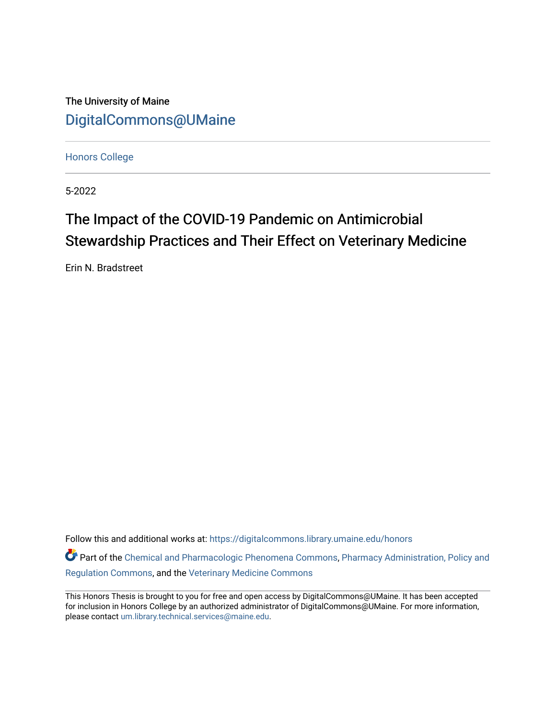The University of Maine [DigitalCommons@UMaine](https://digitalcommons.library.umaine.edu/)

[Honors College](https://digitalcommons.library.umaine.edu/honors)

5-2022

# The Impact of the COVID-19 Pandemic on Antimicrobial Stewardship Practices and Their Effect on Veterinary Medicine

Erin N. Bradstreet

Follow this and additional works at: [https://digitalcommons.library.umaine.edu/honors](https://digitalcommons.library.umaine.edu/honors?utm_source=digitalcommons.library.umaine.edu%2Fhonors%2F717&utm_medium=PDF&utm_campaign=PDFCoverPages) 

Part of the [Chemical and Pharmacologic Phenomena Commons,](http://network.bepress.com/hgg/discipline/988?utm_source=digitalcommons.library.umaine.edu%2Fhonors%2F717&utm_medium=PDF&utm_campaign=PDFCoverPages) [Pharmacy Administration, Policy and](http://network.bepress.com/hgg/discipline/732?utm_source=digitalcommons.library.umaine.edu%2Fhonors%2F717&utm_medium=PDF&utm_campaign=PDFCoverPages) [Regulation Commons,](http://network.bepress.com/hgg/discipline/732?utm_source=digitalcommons.library.umaine.edu%2Fhonors%2F717&utm_medium=PDF&utm_campaign=PDFCoverPages) and the [Veterinary Medicine Commons](http://network.bepress.com/hgg/discipline/760?utm_source=digitalcommons.library.umaine.edu%2Fhonors%2F717&utm_medium=PDF&utm_campaign=PDFCoverPages) 

This Honors Thesis is brought to you for free and open access by DigitalCommons@UMaine. It has been accepted for inclusion in Honors College by an authorized administrator of DigitalCommons@UMaine. For more information, please contact [um.library.technical.services@maine.edu.](mailto:um.library.technical.services@maine.edu)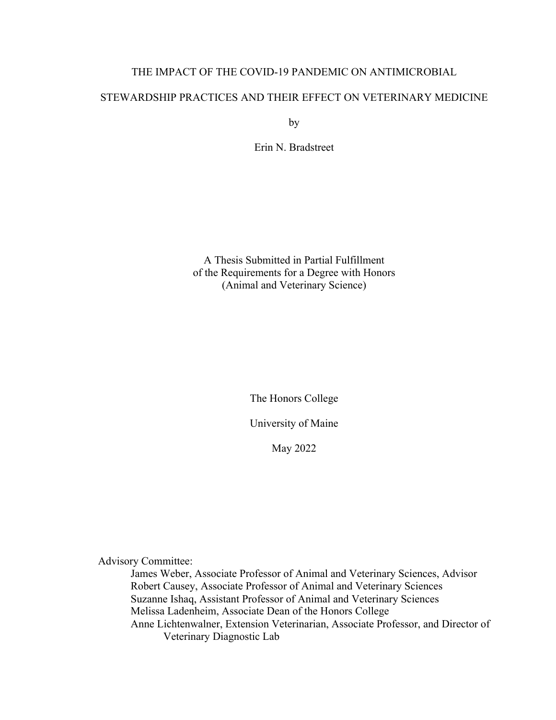# THE IMPACT OF THE COVID-19 PANDEMIC ON ANTIMICROBIAL

# STEWARDSHIP PRACTICES AND THEIR EFFECT ON VETERINARY MEDICINE

by

Erin N. Bradstreet

A Thesis Submitted in Partial Fulfillment of the Requirements for a Degree with Honors (Animal and Veterinary Science)

The Honors College

University of Maine

May 2022

Advisory Committee:

James Weber, Associate Professor of Animal and Veterinary Sciences, Advisor Robert Causey, Associate Professor of Animal and Veterinary Sciences Suzanne Ishaq, Assistant Professor of Animal and Veterinary Sciences Melissa Ladenheim, Associate Dean of the Honors College Anne Lichtenwalner, Extension Veterinarian, Associate Professor, and Director of Veterinary Diagnostic Lab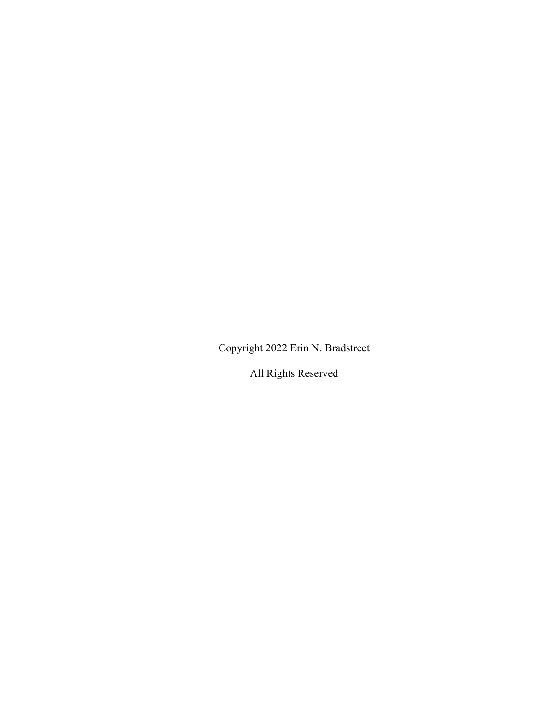Copyright 2022 Erin N. Bradstreet

All Rights Reserved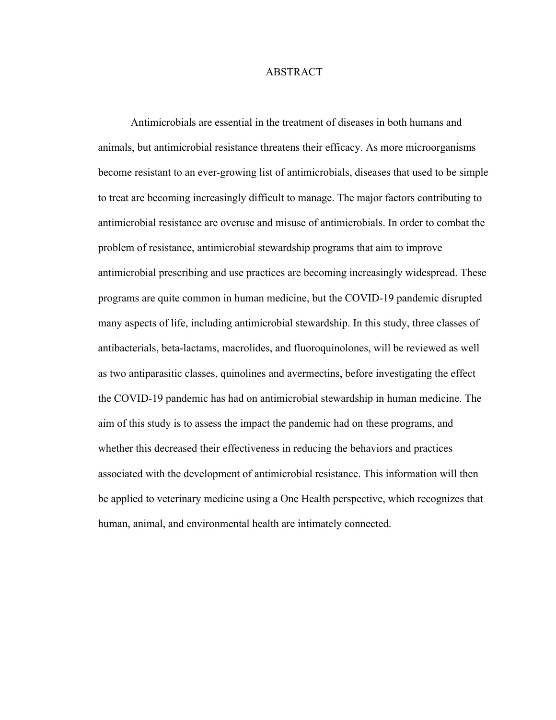# ABSTRACT

Antimicrobials are essential in the treatment of diseases in both humans and animals, but antimicrobial resistance threatens their efficacy. As more microorganisms become resistant to an ever-growing list of antimicrobials, diseases that used to be simple to treat are becoming increasingly difficult to manage. The major factors contributing to antimicrobial resistance are overuse and misuse of antimicrobials. In order to combat the problem of resistance, antimicrobial stewardship programs that aim to improve antimicrobial prescribing and use practices are becoming increasingly widespread. These programs are quite common in human medicine, but the COVID-19 pandemic disrupted many aspects of life, including antimicrobial stewardship. In this study, three classes of antibacterials, beta-lactams, macrolides, and fluoroquinolones, will be reviewed as well as two antiparasitic classes, quinolines and avermectins, before investigating the effect the COVID-19 pandemic has had on antimicrobial stewardship in human medicine. The aim of this study is to assess the impact the pandemic had on these programs, and whether this decreased their effectiveness in reducing the behaviors and practices associated with the development of antimicrobial resistance. This information will then be applied to veterinary medicine using a One Health perspective, which recognizes that human, animal, and environmental health are intimately connected.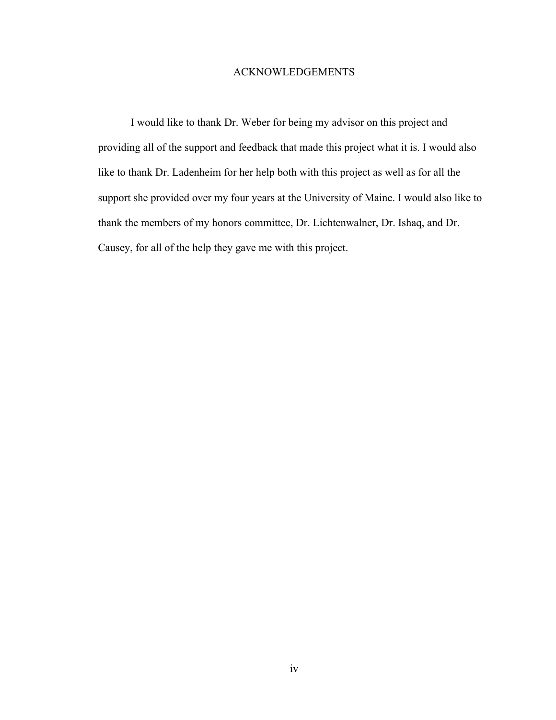# ACKNOWLEDGEMENTS

I would like to thank Dr. Weber for being my advisor on this project and providing all of the support and feedback that made this project what it is. I would also like to thank Dr. Ladenheim for her help both with this project as well as for all the support she provided over my four years at the University of Maine. I would also like to thank the members of my honors committee, Dr. Lichtenwalner, Dr. Ishaq, and Dr. Causey, for all of the help they gave me with this project.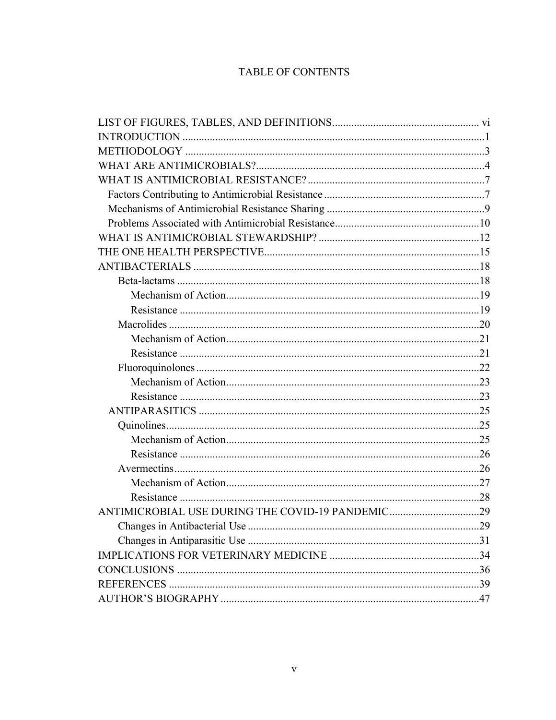# TABLE OF CONTENTS

| ANTIMICROBIAL USE DURING THE COVID-19 PANDEMIC29 |  |
|--------------------------------------------------|--|
|                                                  |  |
|                                                  |  |
|                                                  |  |
|                                                  |  |
|                                                  |  |
|                                                  |  |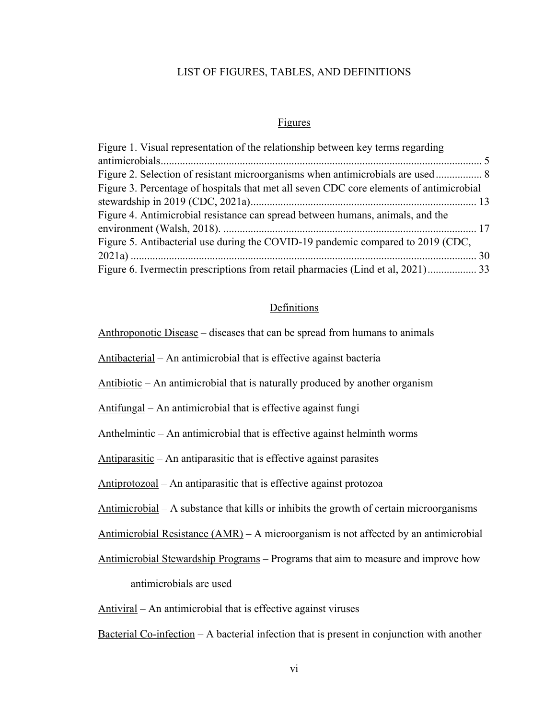# LIST OF FIGURES, TABLES, AND DEFINITIONS

# Figures

| Figure 1. Visual representation of the relationship between key terms regarding         |
|-----------------------------------------------------------------------------------------|
|                                                                                         |
| Figure 2. Selection of resistant microorganisms when antimicrobials are used 8          |
| Figure 3. Percentage of hospitals that met all seven CDC core elements of antimicrobial |
|                                                                                         |
| Figure 4. Antimicrobial resistance can spread between humans, animals, and the          |
|                                                                                         |
| Figure 5. Antibacterial use during the COVID-19 pandemic compared to 2019 (CDC,         |
|                                                                                         |
| Figure 6. Ivermectin prescriptions from retail pharmacies (Lind et al, 2021) 33         |

# Definitions

Anthroponotic Disease – diseases that can be spread from humans to animals

Antibacterial – An antimicrobial that is effective against bacteria

Antibiotic – An antimicrobial that is naturally produced by another organism

Antifungal – An antimicrobial that is effective against fungi

Anthelmintic – An antimicrobial that is effective against helminth worms

Antiparasitic – An antiparasitic that is effective against parasites

Antiprotozoal – An antiparasitic that is effective against protozoa

Antimicrobial – A substance that kills or inhibits the growth of certain microorganisms

Antimicrobial Resistance (AMR) – A microorganism is not affected by an antimicrobial

Antimicrobial Stewardship Programs – Programs that aim to measure and improve how antimicrobials are used

Antiviral – An antimicrobial that is effective against viruses

Bacterial Co-infection – A bacterial infection that is present in conjunction with another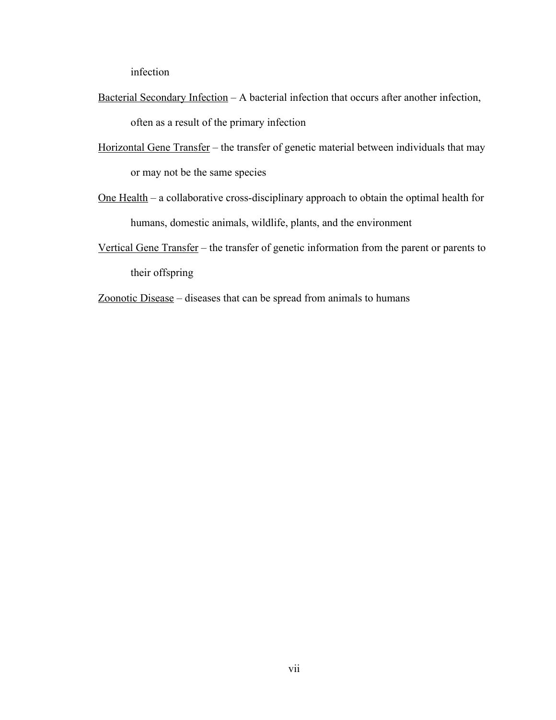infection

- Bacterial Secondary Infection A bacterial infection that occurs after another infection, often as a result of the primary infection
- Horizontal Gene Transfer the transfer of genetic material between individuals that may or may not be the same species
- One Health a collaborative cross-disciplinary approach to obtain the optimal health for humans, domestic animals, wildlife, plants, and the environment
- Vertical Gene Transfer the transfer of genetic information from the parent or parents to their offspring
- Zoonotic Disease diseases that can be spread from animals to humans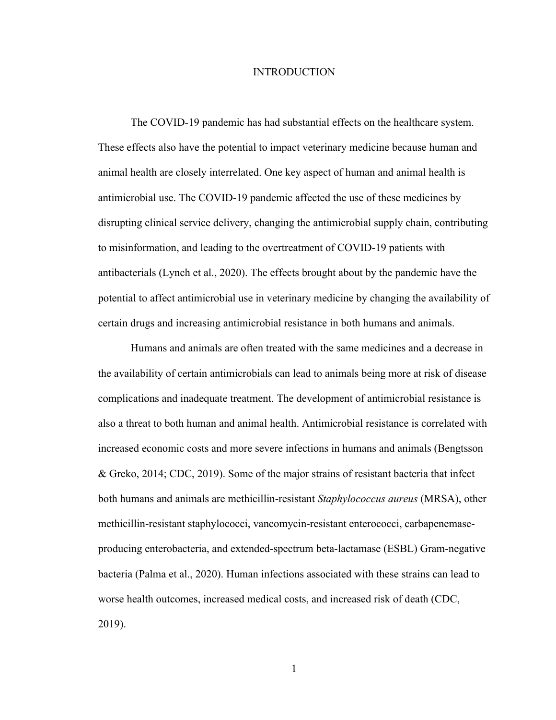# INTRODUCTION

The COVID-19 pandemic has had substantial effects on the healthcare system. These effects also have the potential to impact veterinary medicine because human and animal health are closely interrelated. One key aspect of human and animal health is antimicrobial use. The COVID-19 pandemic affected the use of these medicines by disrupting clinical service delivery, changing the antimicrobial supply chain, contributing to misinformation, and leading to the overtreatment of COVID-19 patients with antibacterials (Lynch et al., 2020). The effects brought about by the pandemic have the potential to affect antimicrobial use in veterinary medicine by changing the availability of certain drugs and increasing antimicrobial resistance in both humans and animals.

Humans and animals are often treated with the same medicines and a decrease in the availability of certain antimicrobials can lead to animals being more at risk of disease complications and inadequate treatment. The development of antimicrobial resistance is also a threat to both human and animal health. Antimicrobial resistance is correlated with increased economic costs and more severe infections in humans and animals (Bengtsson & Greko, 2014; CDC, 2019). Some of the major strains of resistant bacteria that infect both humans and animals are methicillin-resistant *Staphylococcus aureus* (MRSA), other methicillin-resistant staphylococci, vancomycin-resistant enterococci, carbapenemaseproducing enterobacteria, and extended-spectrum beta-lactamase (ESBL) Gram-negative bacteria (Palma et al., 2020). Human infections associated with these strains can lead to worse health outcomes, increased medical costs, and increased risk of death (CDC, 2019).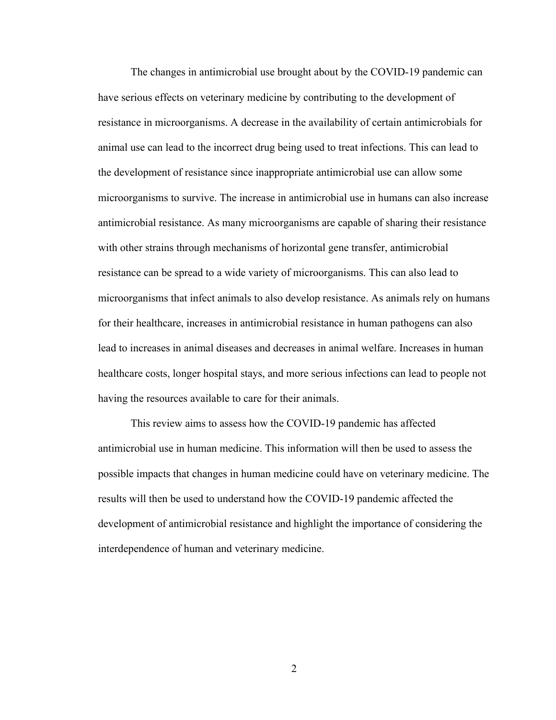The changes in antimicrobial use brought about by the COVID-19 pandemic can have serious effects on veterinary medicine by contributing to the development of resistance in microorganisms. A decrease in the availability of certain antimicrobials for animal use can lead to the incorrect drug being used to treat infections. This can lead to the development of resistance since inappropriate antimicrobial use can allow some microorganisms to survive. The increase in antimicrobial use in humans can also increase antimicrobial resistance. As many microorganisms are capable of sharing their resistance with other strains through mechanisms of horizontal gene transfer, antimicrobial resistance can be spread to a wide variety of microorganisms. This can also lead to microorganisms that infect animals to also develop resistance. As animals rely on humans for their healthcare, increases in antimicrobial resistance in human pathogens can also lead to increases in animal diseases and decreases in animal welfare. Increases in human healthcare costs, longer hospital stays, and more serious infections can lead to people not having the resources available to care for their animals.

This review aims to assess how the COVID-19 pandemic has affected antimicrobial use in human medicine. This information will then be used to assess the possible impacts that changes in human medicine could have on veterinary medicine. The results will then be used to understand how the COVID-19 pandemic affected the development of antimicrobial resistance and highlight the importance of considering the interdependence of human and veterinary medicine.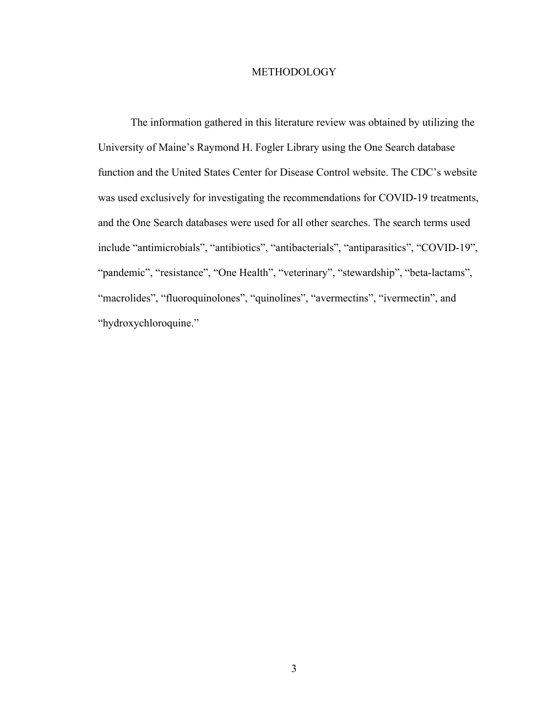# METHODOLOGY

The information gathered in this literature review was obtained by utilizing the University of Maine's Raymond H. Fogler Library using the One Search database function and the United States Center for Disease Control website. The CDC's website was used exclusively for investigating the recommendations for COVID-19 treatments, and the One Search databases were used for all other searches. The search terms used include "antimicrobials", "antibiotics", "antibacterials", "antiparasitics", "COVID-19", "pandemic", "resistance", "One Health", "veterinary", "stewardship", "beta-lactams", "macrolides", "fluoroquinolones", "quinolines", "avermectins", "ivermectin", and "hydroxychloroquine."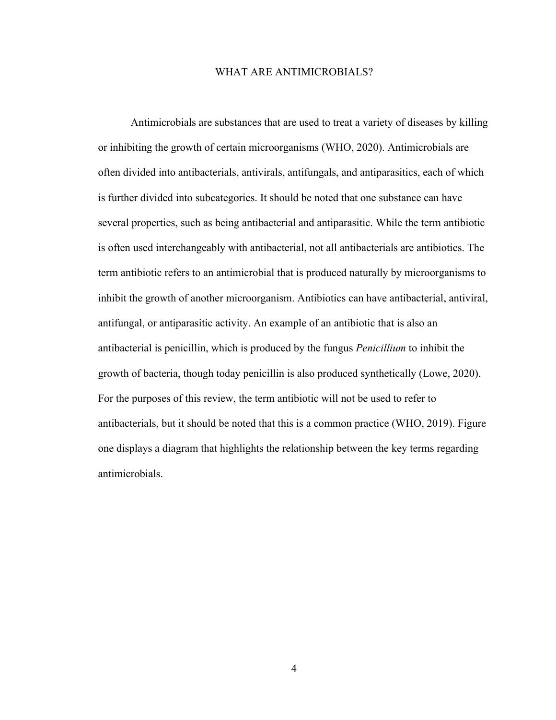# WHAT ARE ANTIMICROBIALS?

Antimicrobials are substances that are used to treat a variety of diseases by killing or inhibiting the growth of certain microorganisms (WHO, 2020). Antimicrobials are often divided into antibacterials, antivirals, antifungals, and antiparasitics, each of which is further divided into subcategories. It should be noted that one substance can have several properties, such as being antibacterial and antiparasitic. While the term antibiotic is often used interchangeably with antibacterial, not all antibacterials are antibiotics. The term antibiotic refers to an antimicrobial that is produced naturally by microorganisms to inhibit the growth of another microorganism. Antibiotics can have antibacterial, antiviral, antifungal, or antiparasitic activity. An example of an antibiotic that is also an antibacterial is penicillin, which is produced by the fungus *Penicillium* to inhibit the growth of bacteria, though today penicillin is also produced synthetically (Lowe, 2020). For the purposes of this review, the term antibiotic will not be used to refer to antibacterials, but it should be noted that this is a common practice (WHO, 2019). Figure one displays a diagram that highlights the relationship between the key terms regarding antimicrobials.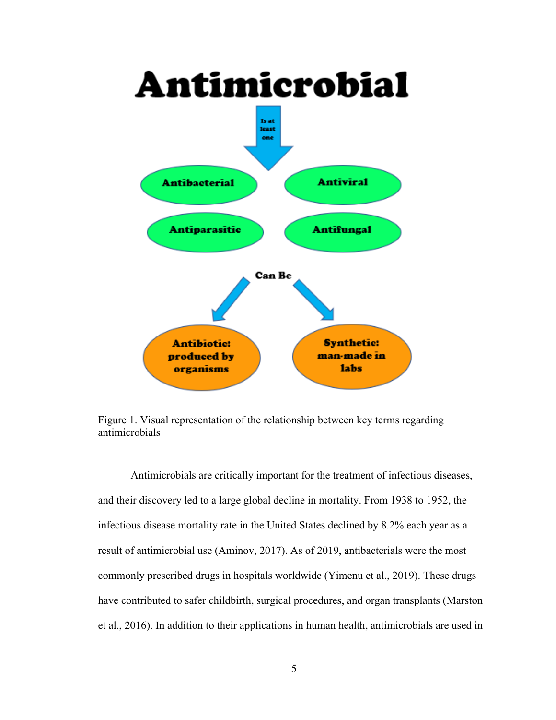

Figure 1. Visual representation of the relationship between key terms regarding antimicrobials

Antimicrobials are critically important for the treatment of infectious diseases, and their discovery led to a large global decline in mortality. From 1938 to 1952, the infectious disease mortality rate in the United States declined by 8.2% each year as a result of antimicrobial use (Aminov, 2017). As of 2019, antibacterials were the most commonly prescribed drugs in hospitals worldwide (Yimenu et al., 2019). These drugs have contributed to safer childbirth, surgical procedures, and organ transplants (Marston et al., 2016). In addition to their applications in human health, antimicrobials are used in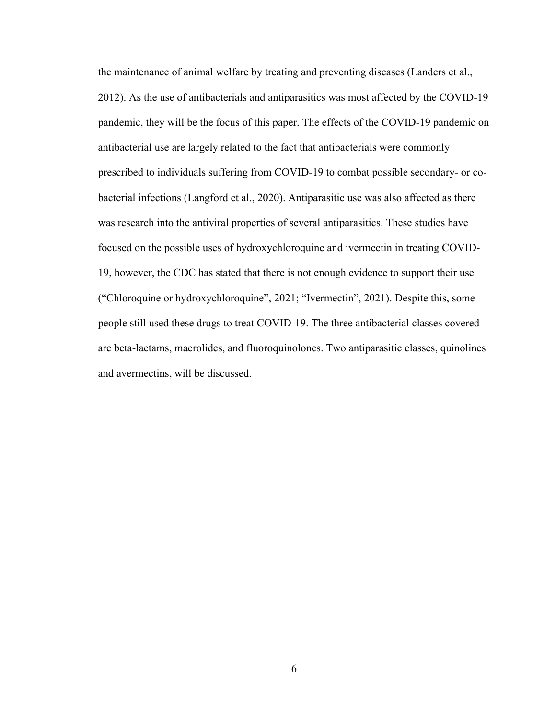the maintenance of animal welfare by treating and preventing diseases (Landers et al., 2012). As the use of antibacterials and antiparasitics was most affected by the COVID-19 pandemic, they will be the focus of this paper. The effects of the COVID-19 pandemic on antibacterial use are largely related to the fact that antibacterials were commonly prescribed to individuals suffering from COVID-19 to combat possible secondary- or cobacterial infections (Langford et al., 2020). Antiparasitic use was also affected as there was research into the antiviral properties of several antiparasitics. These studies have focused on the possible uses of hydroxychloroquine and ivermectin in treating COVID-19, however, the CDC has stated that there is not enough evidence to support their use ("Chloroquine or hydroxychloroquine", 2021; "Ivermectin", 2021). Despite this, some people still used these drugs to treat COVID-19. The three antibacterial classes covered are beta-lactams, macrolides, and fluoroquinolones. Two antiparasitic classes, quinolines and avermectins, will be discussed.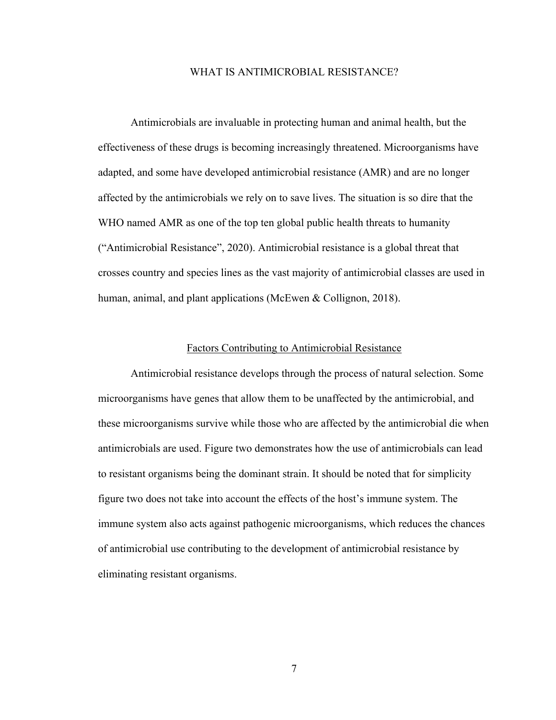# WHAT IS ANTIMICROBIAL RESISTANCE?

Antimicrobials are invaluable in protecting human and animal health, but the effectiveness of these drugs is becoming increasingly threatened. Microorganisms have adapted, and some have developed antimicrobial resistance (AMR) and are no longer affected by the antimicrobials we rely on to save lives. The situation is so dire that the WHO named AMR as one of the top ten global public health threats to humanity ("Antimicrobial Resistance", 2020). Antimicrobial resistance is a global threat that crosses country and species lines as the vast majority of antimicrobial classes are used in human, animal, and plant applications (McEwen & Collignon, 2018).

# Factors Contributing to Antimicrobial Resistance

Antimicrobial resistance develops through the process of natural selection. Some microorganisms have genes that allow them to be unaffected by the antimicrobial, and these microorganisms survive while those who are affected by the antimicrobial die when antimicrobials are used. Figure two demonstrates how the use of antimicrobials can lead to resistant organisms being the dominant strain. It should be noted that for simplicity figure two does not take into account the effects of the host's immune system. The immune system also acts against pathogenic microorganisms, which reduces the chances of antimicrobial use contributing to the development of antimicrobial resistance by eliminating resistant organisms.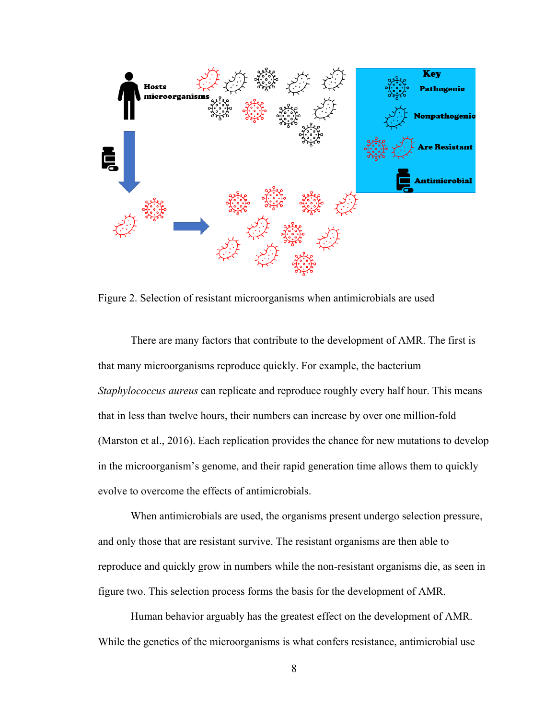

Figure 2. Selection of resistant microorganisms when antimicrobials are used

There are many factors that contribute to the development of AMR. The first is that many microorganisms reproduce quickly. For example, the bacterium *Staphylococcus aureus* can replicate and reproduce roughly every half hour. This means that in less than twelve hours, their numbers can increase by over one million-fold (Marston et al., 2016). Each replication provides the chance for new mutations to develop in the microorganism's genome, and their rapid generation time allows them to quickly evolve to overcome the effects of antimicrobials.

When antimicrobials are used, the organisms present undergo selection pressure, and only those that are resistant survive. The resistant organisms are then able to reproduce and quickly grow in numbers while the non-resistant organisms die, as seen in figure two. This selection process forms the basis for the development of AMR.

Human behavior arguably has the greatest effect on the development of AMR. While the genetics of the microorganisms is what confers resistance, antimicrobial use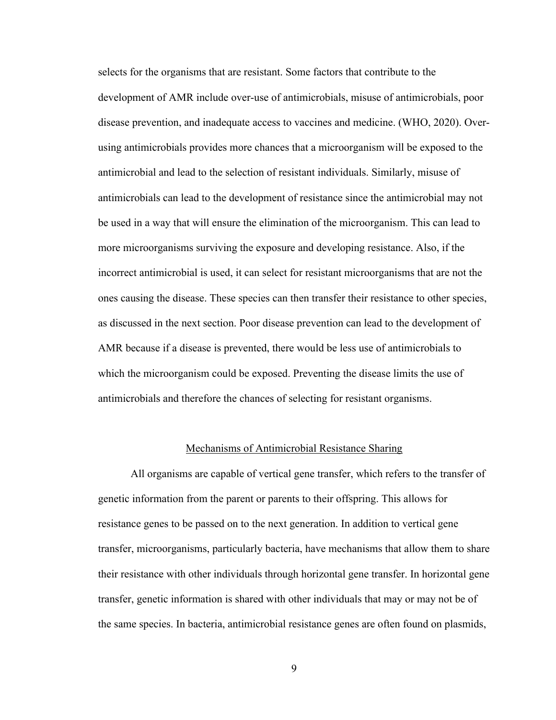selects for the organisms that are resistant. Some factors that contribute to the development of AMR include over-use of antimicrobials, misuse of antimicrobials, poor disease prevention, and inadequate access to vaccines and medicine. (WHO, 2020). Overusing antimicrobials provides more chances that a microorganism will be exposed to the antimicrobial and lead to the selection of resistant individuals. Similarly, misuse of antimicrobials can lead to the development of resistance since the antimicrobial may not be used in a way that will ensure the elimination of the microorganism. This can lead to more microorganisms surviving the exposure and developing resistance. Also, if the incorrect antimicrobial is used, it can select for resistant microorganisms that are not the ones causing the disease. These species can then transfer their resistance to other species, as discussed in the next section. Poor disease prevention can lead to the development of AMR because if a disease is prevented, there would be less use of antimicrobials to which the microorganism could be exposed. Preventing the disease limits the use of antimicrobials and therefore the chances of selecting for resistant organisms.

# Mechanisms of Antimicrobial Resistance Sharing

All organisms are capable of vertical gene transfer, which refers to the transfer of genetic information from the parent or parents to their offspring. This allows for resistance genes to be passed on to the next generation. In addition to vertical gene transfer, microorganisms, particularly bacteria, have mechanisms that allow them to share their resistance with other individuals through horizontal gene transfer. In horizontal gene transfer, genetic information is shared with other individuals that may or may not be of the same species. In bacteria, antimicrobial resistance genes are often found on plasmids,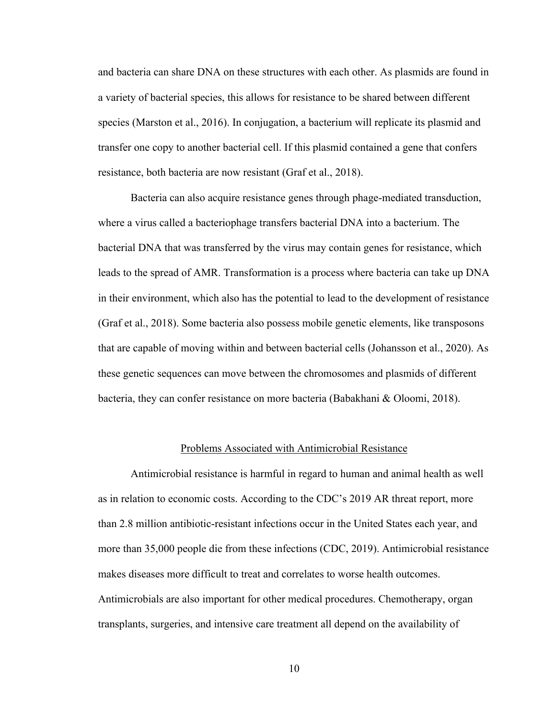and bacteria can share DNA on these structures with each other. As plasmids are found in a variety of bacterial species, this allows for resistance to be shared between different species (Marston et al., 2016). In conjugation, a bacterium will replicate its plasmid and transfer one copy to another bacterial cell. If this plasmid contained a gene that confers resistance, both bacteria are now resistant (Graf et al., 2018).

Bacteria can also acquire resistance genes through phage-mediated transduction, where a virus called a bacteriophage transfers bacterial DNA into a bacterium. The bacterial DNA that was transferred by the virus may contain genes for resistance, which leads to the spread of AMR. Transformation is a process where bacteria can take up DNA in their environment, which also has the potential to lead to the development of resistance (Graf et al., 2018). Some bacteria also possess mobile genetic elements, like transposons that are capable of moving within and between bacterial cells (Johansson et al., 2020). As these genetic sequences can move between the chromosomes and plasmids of different bacteria, they can confer resistance on more bacteria (Babakhani & Oloomi, 2018).

# Problems Associated with Antimicrobial Resistance

Antimicrobial resistance is harmful in regard to human and animal health as well as in relation to economic costs. According to the CDC's 2019 AR threat report, more than 2.8 million antibiotic-resistant infections occur in the United States each year, and more than 35,000 people die from these infections (CDC, 2019). Antimicrobial resistance makes diseases more difficult to treat and correlates to worse health outcomes. Antimicrobials are also important for other medical procedures. Chemotherapy, organ transplants, surgeries, and intensive care treatment all depend on the availability of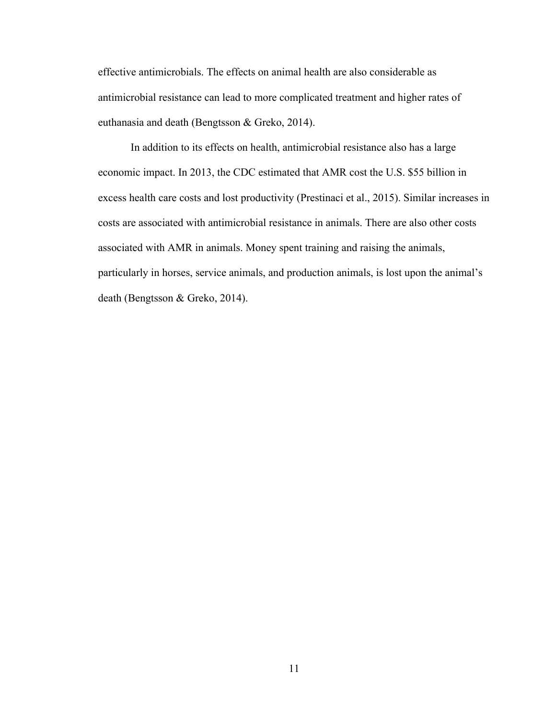effective antimicrobials. The effects on animal health are also considerable as antimicrobial resistance can lead to more complicated treatment and higher rates of euthanasia and death (Bengtsson & Greko, 2014).

In addition to its effects on health, antimicrobial resistance also has a large economic impact. In 2013, the CDC estimated that AMR cost the U.S. \$55 billion in excess health care costs and lost productivity (Prestinaci et al., 2015). Similar increases in costs are associated with antimicrobial resistance in animals. There are also other costs associated with AMR in animals. Money spent training and raising the animals, particularly in horses, service animals, and production animals, is lost upon the animal's death (Bengtsson & Greko, 2014).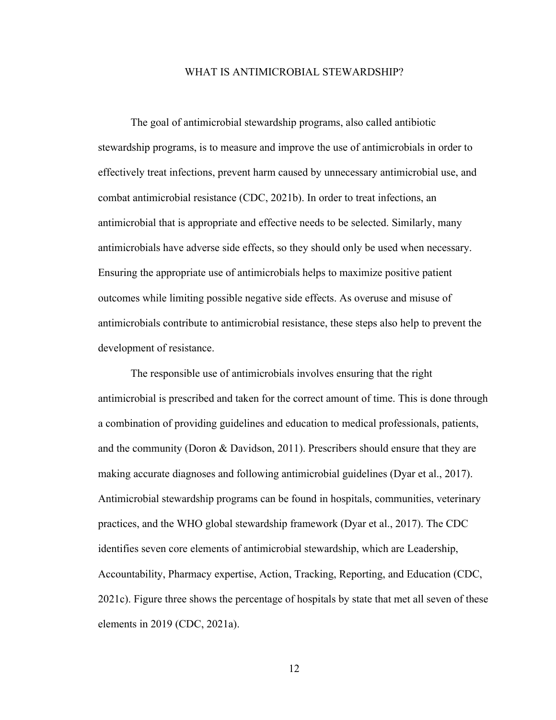### WHAT IS ANTIMICROBIAL STEWARDSHIP?

The goal of antimicrobial stewardship programs, also called antibiotic stewardship programs, is to measure and improve the use of antimicrobials in order to effectively treat infections, prevent harm caused by unnecessary antimicrobial use, and combat antimicrobial resistance (CDC, 2021b). In order to treat infections, an antimicrobial that is appropriate and effective needs to be selected. Similarly, many antimicrobials have adverse side effects, so they should only be used when necessary. Ensuring the appropriate use of antimicrobials helps to maximize positive patient outcomes while limiting possible negative side effects. As overuse and misuse of antimicrobials contribute to antimicrobial resistance, these steps also help to prevent the development of resistance.

The responsible use of antimicrobials involves ensuring that the right antimicrobial is prescribed and taken for the correct amount of time. This is done through a combination of providing guidelines and education to medical professionals, patients, and the community (Doron & Davidson, 2011). Prescribers should ensure that they are making accurate diagnoses and following antimicrobial guidelines (Dyar et al., 2017). Antimicrobial stewardship programs can be found in hospitals, communities, veterinary practices, and the WHO global stewardship framework (Dyar et al., 2017). The CDC identifies seven core elements of antimicrobial stewardship, which are Leadership, Accountability, Pharmacy expertise, Action, Tracking, Reporting, and Education (CDC, 2021c). Figure three shows the percentage of hospitals by state that met all seven of these elements in 2019 (CDC, 2021a).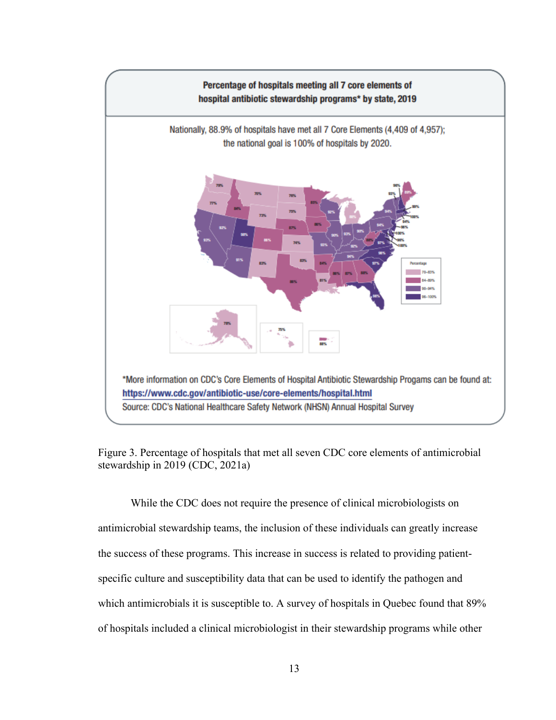

Figure 3. Percentage of hospitals that met all seven CDC core elements of antimicrobial stewardship in 2019 (CDC, 2021a)

While the CDC does not require the presence of clinical microbiologists on antimicrobial stewardship teams, the inclusion of these individuals can greatly increase the success of these programs. This increase in success is related to providing patientspecific culture and susceptibility data that can be used to identify the pathogen and which antimicrobials it is susceptible to. A survey of hospitals in Quebec found that 89% of hospitals included a clinical microbiologist in their stewardship programs while other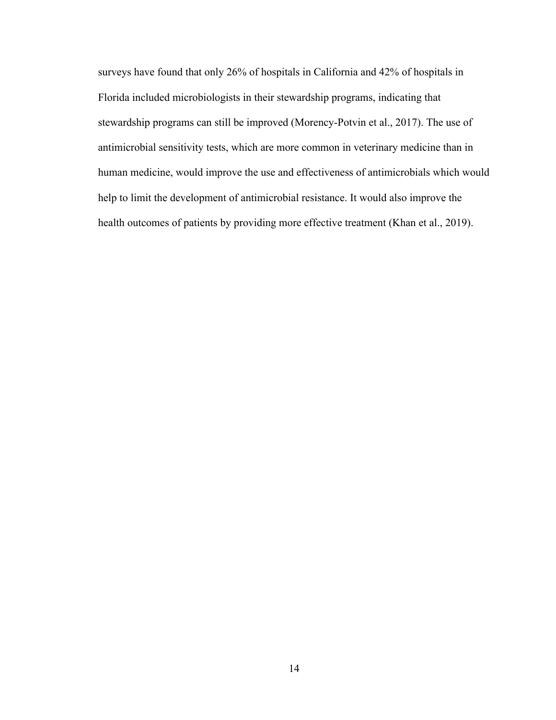surveys have found that only 26% of hospitals in California and 42% of hospitals in Florida included microbiologists in their stewardship programs, indicating that stewardship programs can still be improved (Morency-Potvin et al., 2017). The use of antimicrobial sensitivity tests, which are more common in veterinary medicine than in human medicine, would improve the use and effectiveness of antimicrobials which would help to limit the development of antimicrobial resistance. It would also improve the health outcomes of patients by providing more effective treatment (Khan et al., 2019).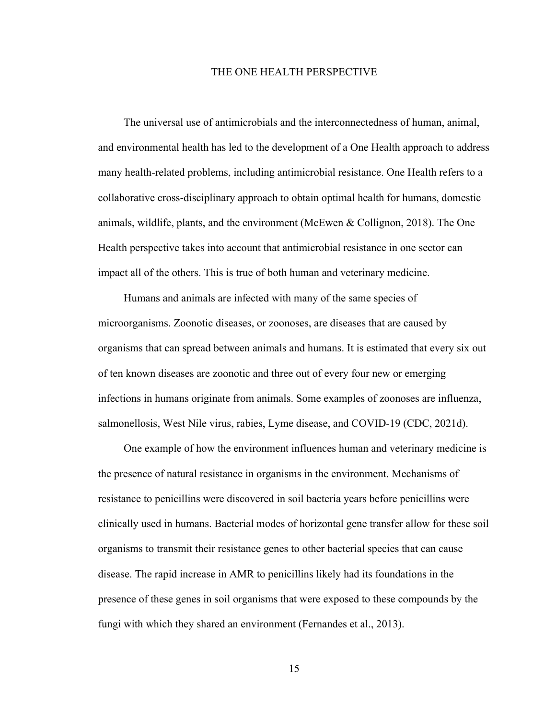# THE ONE HEALTH PERSPECTIVE

The universal use of antimicrobials and the interconnectedness of human, animal, and environmental health has led to the development of a One Health approach to address many health-related problems, including antimicrobial resistance. One Health refers to a collaborative cross-disciplinary approach to obtain optimal health for humans, domestic animals, wildlife, plants, and the environment (McEwen & Collignon, 2018). The One Health perspective takes into account that antimicrobial resistance in one sector can impact all of the others. This is true of both human and veterinary medicine.

Humans and animals are infected with many of the same species of microorganisms. Zoonotic diseases, or zoonoses, are diseases that are caused by organisms that can spread between animals and humans. It is estimated that every six out of ten known diseases are zoonotic and three out of every four new or emerging infections in humans originate from animals. Some examples of zoonoses are influenza, salmonellosis, West Nile virus, rabies, Lyme disease, and COVID-19 (CDC, 2021d).

One example of how the environment influences human and veterinary medicine is the presence of natural resistance in organisms in the environment. Mechanisms of resistance to penicillins were discovered in soil bacteria years before penicillins were clinically used in humans. Bacterial modes of horizontal gene transfer allow for these soil organisms to transmit their resistance genes to other bacterial species that can cause disease. The rapid increase in AMR to penicillins likely had its foundations in the presence of these genes in soil organisms that were exposed to these compounds by the fungi with which they shared an environment (Fernandes et al., 2013).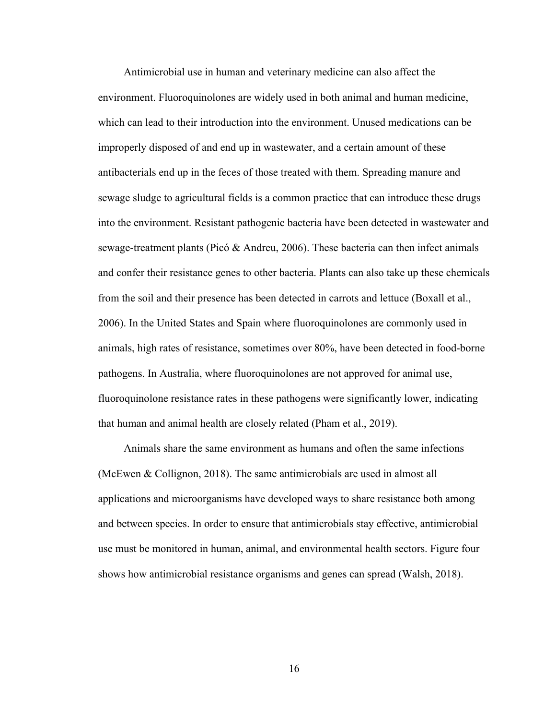Antimicrobial use in human and veterinary medicine can also affect the environment. Fluoroquinolones are widely used in both animal and human medicine, which can lead to their introduction into the environment. Unused medications can be improperly disposed of and end up in wastewater, and a certain amount of these antibacterials end up in the feces of those treated with them. Spreading manure and sewage sludge to agricultural fields is a common practice that can introduce these drugs into the environment. Resistant pathogenic bacteria have been detected in wastewater and sewage-treatment plants (Picó & Andreu, 2006). These bacteria can then infect animals and confer their resistance genes to other bacteria. Plants can also take up these chemicals from the soil and their presence has been detected in carrots and lettuce (Boxall et al., 2006). In the United States and Spain where fluoroquinolones are commonly used in animals, high rates of resistance, sometimes over 80%, have been detected in food-borne pathogens. In Australia, where fluoroquinolones are not approved for animal use, fluoroquinolone resistance rates in these pathogens were significantly lower, indicating that human and animal health are closely related (Pham et al., 2019).

Animals share the same environment as humans and often the same infections (McEwen & Collignon, 2018). The same antimicrobials are used in almost all applications and microorganisms have developed ways to share resistance both among and between species. In order to ensure that antimicrobials stay effective, antimicrobial use must be monitored in human, animal, and environmental health sectors. Figure four shows how antimicrobial resistance organisms and genes can spread (Walsh, 2018).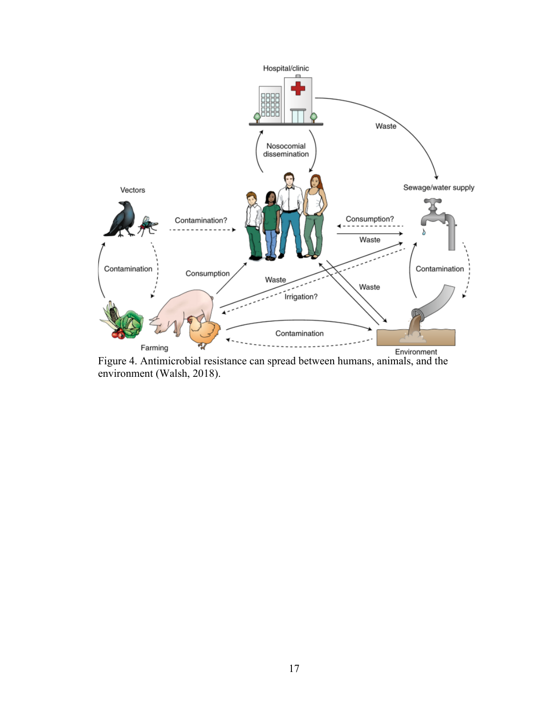

Farming<br>Figure 4. Antimicrobial resistance can spread between humans, animals, and the environment (Walsh, 2018).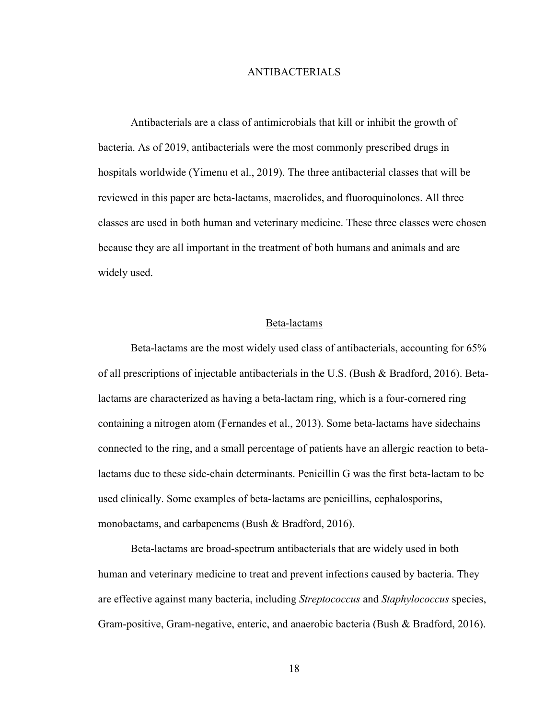# ANTIBACTERIALS

Antibacterials are a class of antimicrobials that kill or inhibit the growth of bacteria. As of 2019, antibacterials were the most commonly prescribed drugs in hospitals worldwide (Yimenu et al., 2019). The three antibacterial classes that will be reviewed in this paper are beta-lactams, macrolides, and fluoroquinolones. All three classes are used in both human and veterinary medicine. These three classes were chosen because they are all important in the treatment of both humans and animals and are widely used.

# Beta-lactams

Beta-lactams are the most widely used class of antibacterials, accounting for 65% of all prescriptions of injectable antibacterials in the U.S. (Bush & Bradford, 2016). Betalactams are characterized as having a beta-lactam ring, which is a four-cornered ring containing a nitrogen atom (Fernandes et al., 2013). Some beta-lactams have sidechains connected to the ring, and a small percentage of patients have an allergic reaction to betalactams due to these side-chain determinants. Penicillin G was the first beta-lactam to be used clinically. Some examples of beta-lactams are penicillins, cephalosporins, monobactams, and carbapenems (Bush & Bradford, 2016).

Beta-lactams are broad-spectrum antibacterials that are widely used in both human and veterinary medicine to treat and prevent infections caused by bacteria. They are effective against many bacteria, including *Streptococcus* and *Staphylococcus* species, Gram-positive, Gram-negative, enteric, and anaerobic bacteria (Bush & Bradford, 2016).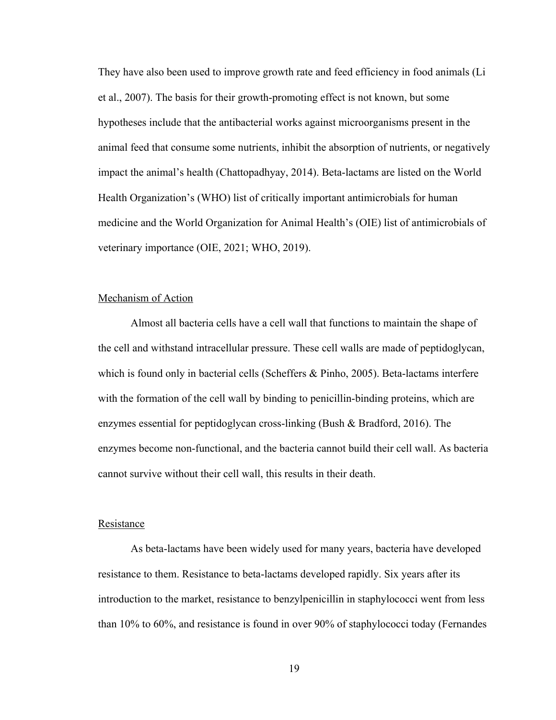They have also been used to improve growth rate and feed efficiency in food animals (Li et al., 2007). The basis for their growth-promoting effect is not known, but some hypotheses include that the antibacterial works against microorganisms present in the animal feed that consume some nutrients, inhibit the absorption of nutrients, or negatively impact the animal's health (Chattopadhyay, 2014). Beta-lactams are listed on the World Health Organization's (WHO) list of critically important antimicrobials for human medicine and the World Organization for Animal Health's (OIE) list of antimicrobials of veterinary importance (OIE, 2021; WHO, 2019).

# Mechanism of Action

Almost all bacteria cells have a cell wall that functions to maintain the shape of the cell and withstand intracellular pressure. These cell walls are made of peptidoglycan, which is found only in bacterial cells (Scheffers & Pinho, 2005). Beta-lactams interfere with the formation of the cell wall by binding to penicillin-binding proteins, which are enzymes essential for peptidoglycan cross-linking (Bush & Bradford, 2016). The enzymes become non-functional, and the bacteria cannot build their cell wall. As bacteria cannot survive without their cell wall, this results in their death.

# Resistance

As beta-lactams have been widely used for many years, bacteria have developed resistance to them. Resistance to beta-lactams developed rapidly. Six years after its introduction to the market, resistance to benzylpenicillin in staphylococci went from less than 10% to 60%, and resistance is found in over 90% of staphylococci today (Fernandes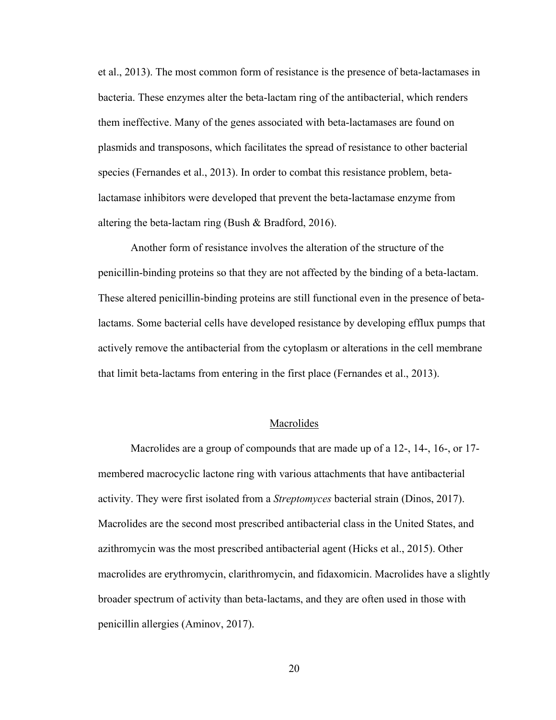et al., 2013). The most common form of resistance is the presence of beta-lactamases in bacteria. These enzymes alter the beta-lactam ring of the antibacterial, which renders them ineffective. Many of the genes associated with beta-lactamases are found on plasmids and transposons, which facilitates the spread of resistance to other bacterial species (Fernandes et al., 2013). In order to combat this resistance problem, betalactamase inhibitors were developed that prevent the beta-lactamase enzyme from altering the beta-lactam ring (Bush & Bradford, 2016).

Another form of resistance involves the alteration of the structure of the penicillin-binding proteins so that they are not affected by the binding of a beta-lactam. These altered penicillin-binding proteins are still functional even in the presence of betalactams. Some bacterial cells have developed resistance by developing efflux pumps that actively remove the antibacterial from the cytoplasm or alterations in the cell membrane that limit beta-lactams from entering in the first place (Fernandes et al., 2013).

# Macrolides

Macrolides are a group of compounds that are made up of a 12-, 14-, 16-, or 17 membered macrocyclic lactone ring with various attachments that have antibacterial activity. They were first isolated from a *Streptomyces* bacterial strain (Dinos, 2017). Macrolides are the second most prescribed antibacterial class in the United States, and azithromycin was the most prescribed antibacterial agent (Hicks et al., 2015). Other macrolides are erythromycin, clarithromycin, and fidaxomicin. Macrolides have a slightly broader spectrum of activity than beta-lactams, and they are often used in those with penicillin allergies (Aminov, 2017).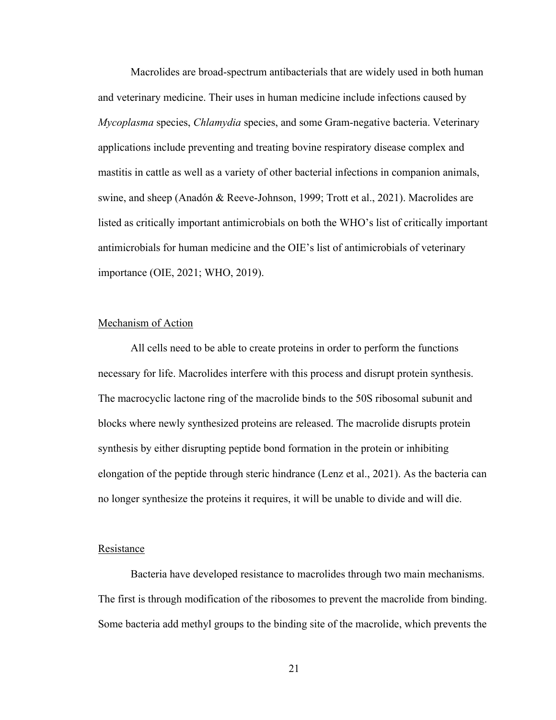Macrolides are broad-spectrum antibacterials that are widely used in both human and veterinary medicine. Their uses in human medicine include infections caused by *Mycoplasma* species, *Chlamydia* species, and some Gram-negative bacteria. Veterinary applications include preventing and treating bovine respiratory disease complex and mastitis in cattle as well as a variety of other bacterial infections in companion animals, swine, and sheep (Anadón & Reeve-Johnson, 1999; Trott et al., 2021). Macrolides are listed as critically important antimicrobials on both the WHO's list of critically important antimicrobials for human medicine and the OIE's list of antimicrobials of veterinary importance (OIE, 2021; WHO, 2019).

# Mechanism of Action

All cells need to be able to create proteins in order to perform the functions necessary for life. Macrolides interfere with this process and disrupt protein synthesis. The macrocyclic lactone ring of the macrolide binds to the 50S ribosomal subunit and blocks where newly synthesized proteins are released. The macrolide disrupts protein synthesis by either disrupting peptide bond formation in the protein or inhibiting elongation of the peptide through steric hindrance (Lenz et al., 2021). As the bacteria can no longer synthesize the proteins it requires, it will be unable to divide and will die.

# **Resistance**

Bacteria have developed resistance to macrolides through two main mechanisms. The first is through modification of the ribosomes to prevent the macrolide from binding. Some bacteria add methyl groups to the binding site of the macrolide, which prevents the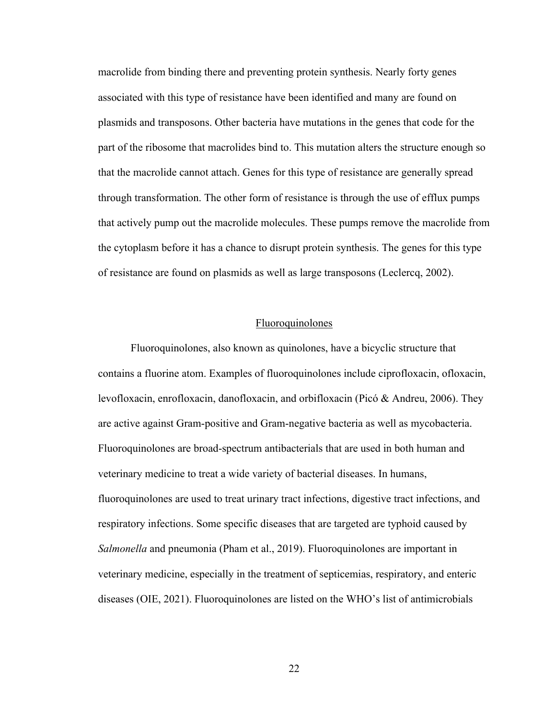macrolide from binding there and preventing protein synthesis. Nearly forty genes associated with this type of resistance have been identified and many are found on plasmids and transposons. Other bacteria have mutations in the genes that code for the part of the ribosome that macrolides bind to. This mutation alters the structure enough so that the macrolide cannot attach. Genes for this type of resistance are generally spread through transformation. The other form of resistance is through the use of efflux pumps that actively pump out the macrolide molecules. These pumps remove the macrolide from the cytoplasm before it has a chance to disrupt protein synthesis. The genes for this type of resistance are found on plasmids as well as large transposons (Leclercq, 2002).

# Fluoroquinolones

Fluoroquinolones, also known as quinolones, have a bicyclic structure that contains a fluorine atom. Examples of fluoroquinolones include ciprofloxacin, ofloxacin, levofloxacin, enrofloxacin, danofloxacin, and orbifloxacin (Picó & Andreu, 2006). They are active against Gram-positive and Gram-negative bacteria as well as mycobacteria. Fluoroquinolones are broad-spectrum antibacterials that are used in both human and veterinary medicine to treat a wide variety of bacterial diseases. In humans, fluoroquinolones are used to treat urinary tract infections, digestive tract infections, and respiratory infections. Some specific diseases that are targeted are typhoid caused by *Salmonella* and pneumonia (Pham et al., 2019). Fluoroquinolones are important in veterinary medicine, especially in the treatment of septicemias, respiratory, and enteric diseases (OIE, 2021). Fluoroquinolones are listed on the WHO's list of antimicrobials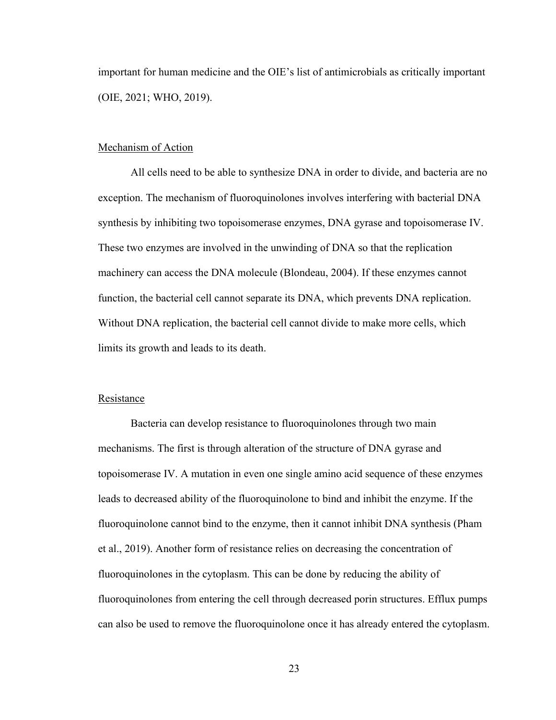important for human medicine and the OIE's list of antimicrobials as critically important (OIE, 2021; WHO, 2019).

# Mechanism of Action

All cells need to be able to synthesize DNA in order to divide, and bacteria are no exception. The mechanism of fluoroquinolones involves interfering with bacterial DNA synthesis by inhibiting two topoisomerase enzymes, DNA gyrase and topoisomerase IV. These two enzymes are involved in the unwinding of DNA so that the replication machinery can access the DNA molecule (Blondeau, 2004). If these enzymes cannot function, the bacterial cell cannot separate its DNA, which prevents DNA replication. Without DNA replication, the bacterial cell cannot divide to make more cells, which limits its growth and leads to its death.

### Resistance

Bacteria can develop resistance to fluoroquinolones through two main mechanisms. The first is through alteration of the structure of DNA gyrase and topoisomerase IV. A mutation in even one single amino acid sequence of these enzymes leads to decreased ability of the fluoroquinolone to bind and inhibit the enzyme. If the fluoroquinolone cannot bind to the enzyme, then it cannot inhibit DNA synthesis (Pham et al., 2019). Another form of resistance relies on decreasing the concentration of fluoroquinolones in the cytoplasm. This can be done by reducing the ability of fluoroquinolones from entering the cell through decreased porin structures. Efflux pumps can also be used to remove the fluoroquinolone once it has already entered the cytoplasm.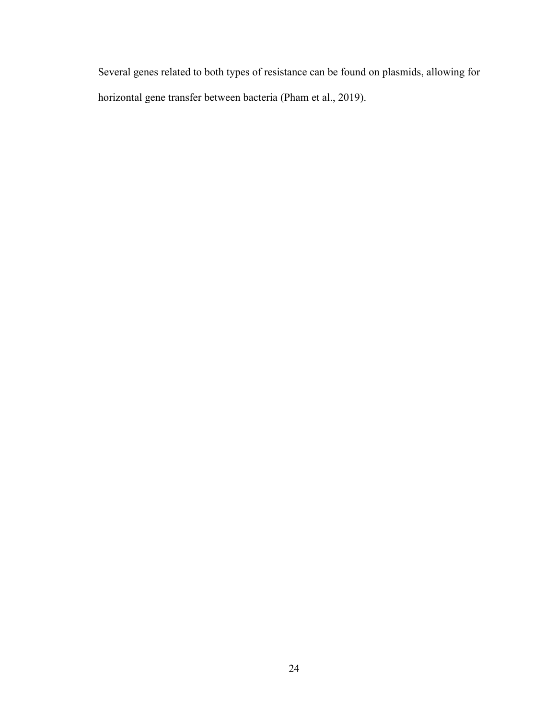Several genes related to both types of resistance can be found on plasmids, allowing for horizontal gene transfer between bacteria (Pham et al., 2019).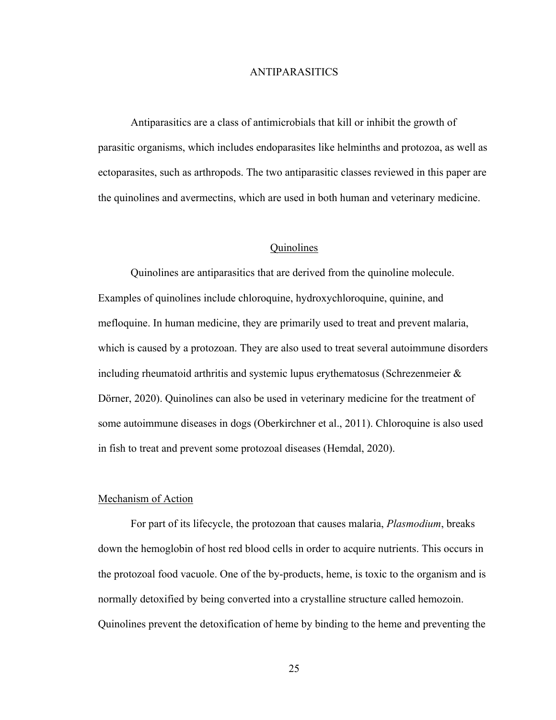# ANTIPARASITICS

Antiparasitics are a class of antimicrobials that kill or inhibit the growth of parasitic organisms, which includes endoparasites like helminths and protozoa, as well as ectoparasites, such as arthropods. The two antiparasitic classes reviewed in this paper are the quinolines and avermectins, which are used in both human and veterinary medicine.

# Quinolines

Quinolines are antiparasitics that are derived from the quinoline molecule. Examples of quinolines include chloroquine, hydroxychloroquine, quinine, and mefloquine. In human medicine, they are primarily used to treat and prevent malaria, which is caused by a protozoan. They are also used to treat several autoimmune disorders including rheumatoid arthritis and systemic lupus erythematosus (Schrezenmeier  $\&$ Dörner, 2020). Quinolines can also be used in veterinary medicine for the treatment of some autoimmune diseases in dogs (Oberkirchner et al., 2011). Chloroquine is also used in fish to treat and prevent some protozoal diseases (Hemdal, 2020).

#### Mechanism of Action

For part of its lifecycle, the protozoan that causes malaria, *Plasmodium*, breaks down the hemoglobin of host red blood cells in order to acquire nutrients. This occurs in the protozoal food vacuole. One of the by-products, heme, is toxic to the organism and is normally detoxified by being converted into a crystalline structure called hemozoin. Quinolines prevent the detoxification of heme by binding to the heme and preventing the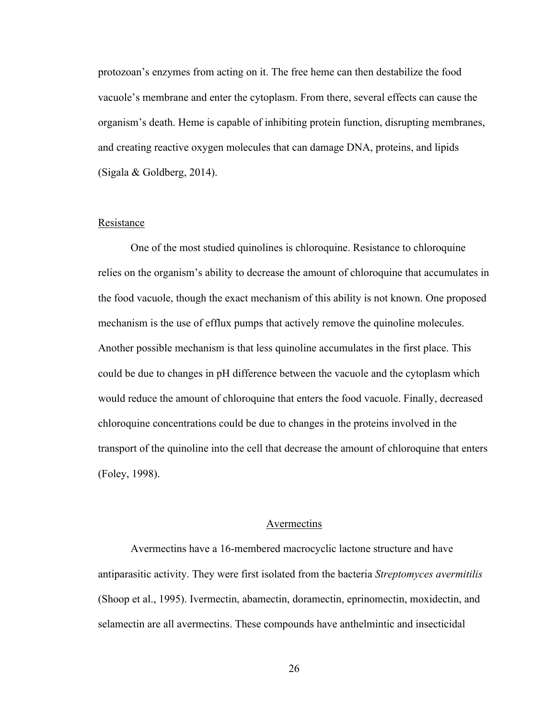protozoan's enzymes from acting on it. The free heme can then destabilize the food vacuole's membrane and enter the cytoplasm. From there, several effects can cause the organism's death. Heme is capable of inhibiting protein function, disrupting membranes, and creating reactive oxygen molecules that can damage DNA, proteins, and lipids (Sigala & Goldberg, 2014).

# Resistance

One of the most studied quinolines is chloroquine. Resistance to chloroquine relies on the organism's ability to decrease the amount of chloroquine that accumulates in the food vacuole, though the exact mechanism of this ability is not known. One proposed mechanism is the use of efflux pumps that actively remove the quinoline molecules. Another possible mechanism is that less quinoline accumulates in the first place. This could be due to changes in pH difference between the vacuole and the cytoplasm which would reduce the amount of chloroquine that enters the food vacuole. Finally, decreased chloroquine concentrations could be due to changes in the proteins involved in the transport of the quinoline into the cell that decrease the amount of chloroquine that enters (Foley, 1998).

### Avermectins

Avermectins have a 16-membered macrocyclic lactone structure and have antiparasitic activity. They were first isolated from the bacteria *Streptomyces avermitilis* (Shoop et al., 1995). Ivermectin, abamectin, doramectin, eprinomectin, moxidectin, and selamectin are all avermectins. These compounds have anthelmintic and insecticidal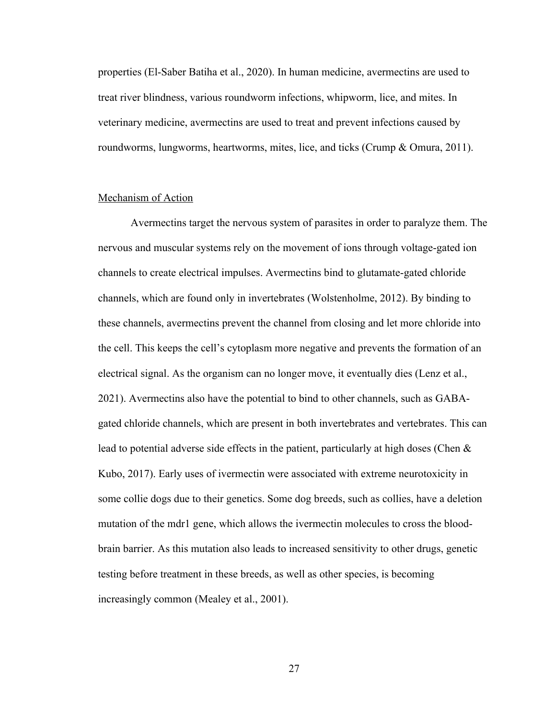properties (El-Saber Batiha et al., 2020). In human medicine, avermectins are used to treat river blindness, various roundworm infections, whipworm, lice, and mites. In veterinary medicine, avermectins are used to treat and prevent infections caused by roundworms, lungworms, heartworms, mites, lice, and ticks (Crump & Omura, 2011).

# Mechanism of Action

Avermectins target the nervous system of parasites in order to paralyze them. The nervous and muscular systems rely on the movement of ions through voltage-gated ion channels to create electrical impulses. Avermectins bind to glutamate-gated chloride channels, which are found only in invertebrates (Wolstenholme, 2012). By binding to these channels, avermectins prevent the channel from closing and let more chloride into the cell. This keeps the cell's cytoplasm more negative and prevents the formation of an electrical signal. As the organism can no longer move, it eventually dies (Lenz et al., 2021). Avermectins also have the potential to bind to other channels, such as GABAgated chloride channels, which are present in both invertebrates and vertebrates. This can lead to potential adverse side effects in the patient, particularly at high doses (Chen  $\&$ Kubo, 2017). Early uses of ivermectin were associated with extreme neurotoxicity in some collie dogs due to their genetics. Some dog breeds, such as collies, have a deletion mutation of the mdr1 gene, which allows the ivermectin molecules to cross the bloodbrain barrier. As this mutation also leads to increased sensitivity to other drugs, genetic testing before treatment in these breeds, as well as other species, is becoming increasingly common (Mealey et al., 2001).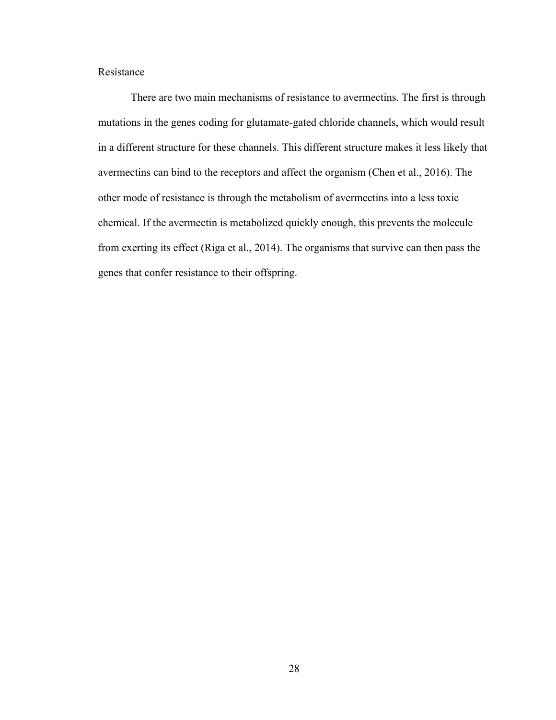# **Resistance**

There are two main mechanisms of resistance to avermectins. The first is through mutations in the genes coding for glutamate-gated chloride channels, which would result in a different structure for these channels. This different structure makes it less likely that avermectins can bind to the receptors and affect the organism (Chen et al., 2016). The other mode of resistance is through the metabolism of avermectins into a less toxic chemical. If the avermectin is metabolized quickly enough, this prevents the molecule from exerting its effect (Riga et al., 2014). The organisms that survive can then pass the genes that confer resistance to their offspring.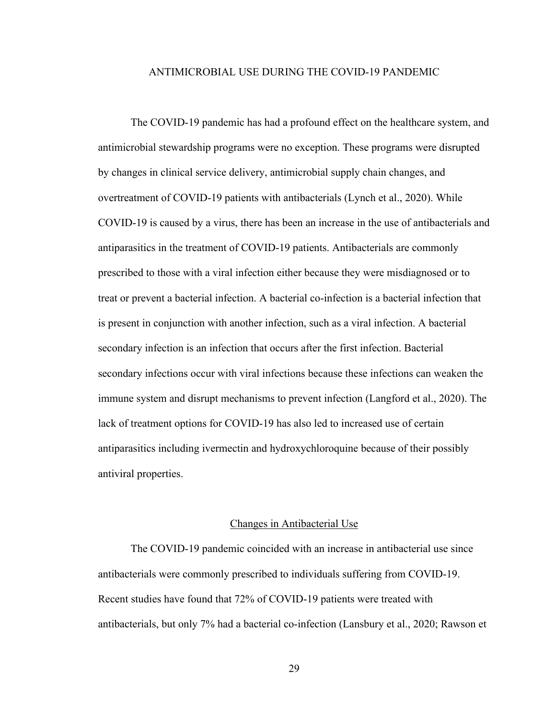# ANTIMICROBIAL USE DURING THE COVID-19 PANDEMIC

The COVID-19 pandemic has had a profound effect on the healthcare system, and antimicrobial stewardship programs were no exception. These programs were disrupted by changes in clinical service delivery, antimicrobial supply chain changes, and overtreatment of COVID-19 patients with antibacterials (Lynch et al., 2020). While COVID-19 is caused by a virus, there has been an increase in the use of antibacterials and antiparasitics in the treatment of COVID-19 patients. Antibacterials are commonly prescribed to those with a viral infection either because they were misdiagnosed or to treat or prevent a bacterial infection. A bacterial co-infection is a bacterial infection that is present in conjunction with another infection, such as a viral infection. A bacterial secondary infection is an infection that occurs after the first infection. Bacterial secondary infections occur with viral infections because these infections can weaken the immune system and disrupt mechanisms to prevent infection (Langford et al., 2020). The lack of treatment options for COVID-19 has also led to increased use of certain antiparasitics including ivermectin and hydroxychloroquine because of their possibly antiviral properties.

#### Changes in Antibacterial Use

The COVID-19 pandemic coincided with an increase in antibacterial use since antibacterials were commonly prescribed to individuals suffering from COVID-19. Recent studies have found that 72% of COVID-19 patients were treated with antibacterials, but only 7% had a bacterial co-infection (Lansbury et al., 2020; Rawson et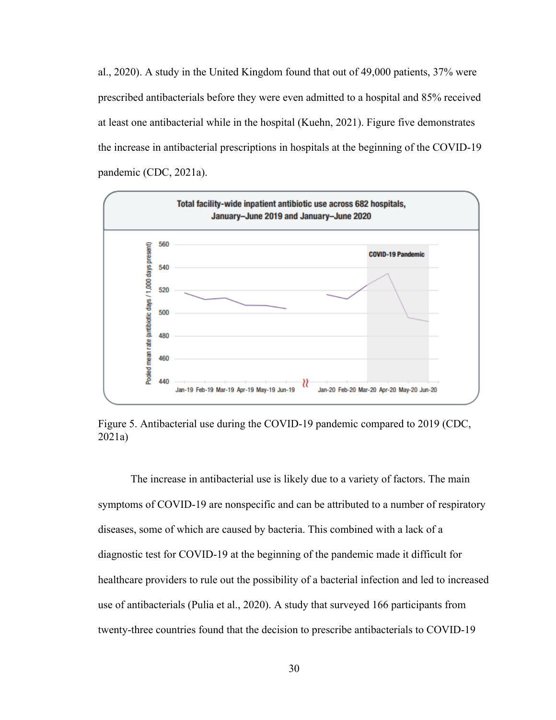al., 2020). A study in the United Kingdom found that out of 49,000 patients, 37% were prescribed antibacterials before they were even admitted to a hospital and 85% received at least one antibacterial while in the hospital (Kuehn, 2021). Figure five demonstrates the increase in antibacterial prescriptions in hospitals at the beginning of the COVID-19 pandemic (CDC, 2021a).



Figure 5. Antibacterial use during the COVID-19 pandemic compared to 2019 (CDC, 2021a)

The increase in antibacterial use is likely due to a variety of factors. The main symptoms of COVID-19 are nonspecific and can be attributed to a number of respiratory diseases, some of which are caused by bacteria. This combined with a lack of a diagnostic test for COVID-19 at the beginning of the pandemic made it difficult for healthcare providers to rule out the possibility of a bacterial infection and led to increased use of antibacterials (Pulia et al., 2020). A study that surveyed 166 participants from twenty-three countries found that the decision to prescribe antibacterials to COVID-19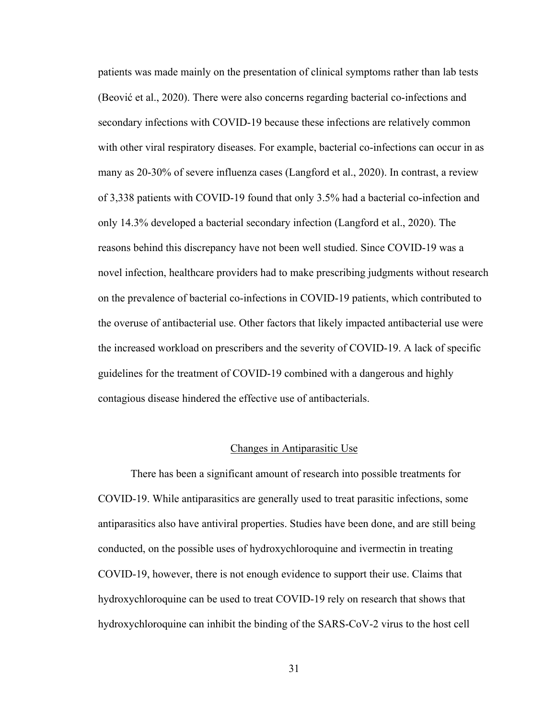patients was made mainly on the presentation of clinical symptoms rather than lab tests (Beović et al., 2020). There were also concerns regarding bacterial co-infections and secondary infections with COVID-19 because these infections are relatively common with other viral respiratory diseases. For example, bacterial co-infections can occur in as many as 20-30% of severe influenza cases (Langford et al., 2020). In contrast, a review of 3,338 patients with COVID-19 found that only 3.5% had a bacterial co-infection and only 14.3% developed a bacterial secondary infection (Langford et al., 2020). The reasons behind this discrepancy have not been well studied. Since COVID-19 was a novel infection, healthcare providers had to make prescribing judgments without research on the prevalence of bacterial co-infections in COVID-19 patients, which contributed to the overuse of antibacterial use. Other factors that likely impacted antibacterial use were the increased workload on prescribers and the severity of COVID-19. A lack of specific guidelines for the treatment of COVID-19 combined with a dangerous and highly contagious disease hindered the effective use of antibacterials.

#### Changes in Antiparasitic Use

There has been a significant amount of research into possible treatments for COVID-19. While antiparasitics are generally used to treat parasitic infections, some antiparasitics also have antiviral properties. Studies have been done, and are still being conducted, on the possible uses of hydroxychloroquine and ivermectin in treating COVID-19, however, there is not enough evidence to support their use. Claims that hydroxychloroquine can be used to treat COVID-19 rely on research that shows that hydroxychloroquine can inhibit the binding of the SARS-CoV-2 virus to the host cell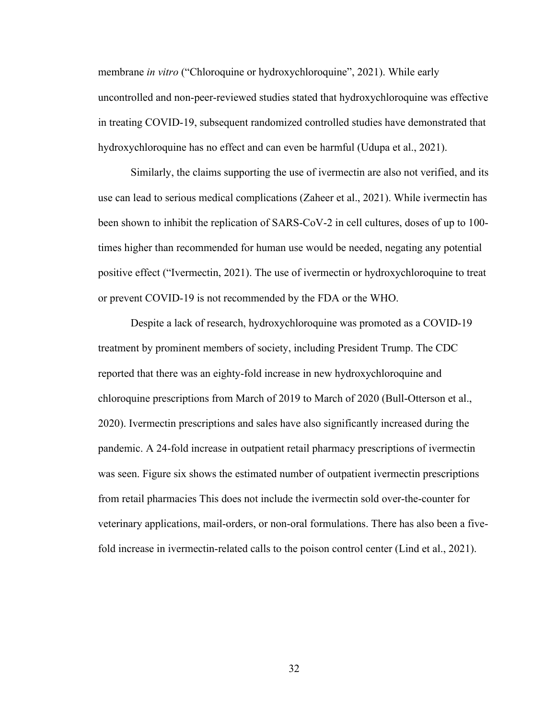membrane *in vitro* ("Chloroquine or hydroxychloroquine", 2021). While early uncontrolled and non-peer-reviewed studies stated that hydroxychloroquine was effective in treating COVID-19, subsequent randomized controlled studies have demonstrated that hydroxychloroquine has no effect and can even be harmful (Udupa et al., 2021).

Similarly, the claims supporting the use of ivermectin are also not verified, and its use can lead to serious medical complications (Zaheer et al., 2021). While ivermectin has been shown to inhibit the replication of SARS-CoV-2 in cell cultures, doses of up to 100 times higher than recommended for human use would be needed, negating any potential positive effect ("Ivermectin, 2021). The use of ivermectin or hydroxychloroquine to treat or prevent COVID-19 is not recommended by the FDA or the WHO.

Despite a lack of research, hydroxychloroquine was promoted as a COVID-19 treatment by prominent members of society, including President Trump. The CDC reported that there was an eighty-fold increase in new hydroxychloroquine and chloroquine prescriptions from March of 2019 to March of 2020 (Bull-Otterson et al., 2020). Ivermectin prescriptions and sales have also significantly increased during the pandemic. A 24-fold increase in outpatient retail pharmacy prescriptions of ivermectin was seen. Figure six shows the estimated number of outpatient ivermectin prescriptions from retail pharmacies This does not include the ivermectin sold over-the-counter for veterinary applications, mail-orders, or non-oral formulations. There has also been a fivefold increase in ivermectin-related calls to the poison control center (Lind et al., 2021).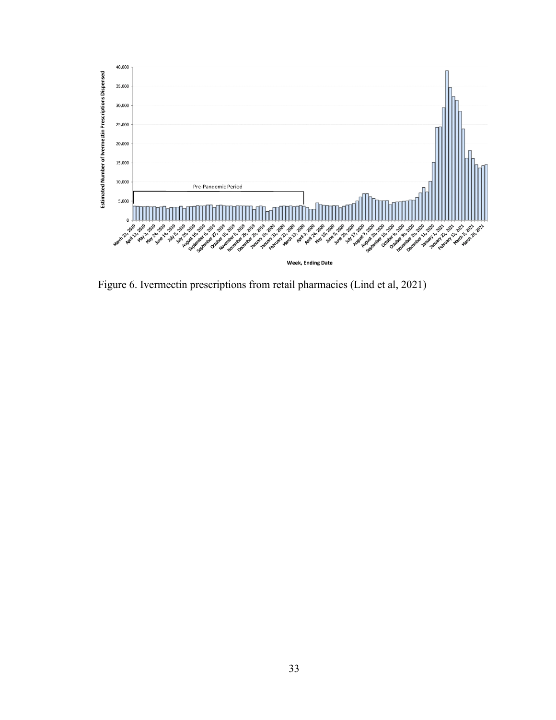

Figure 6. Ivermectin prescriptions from retail pharmacies (Lind et al, 2021)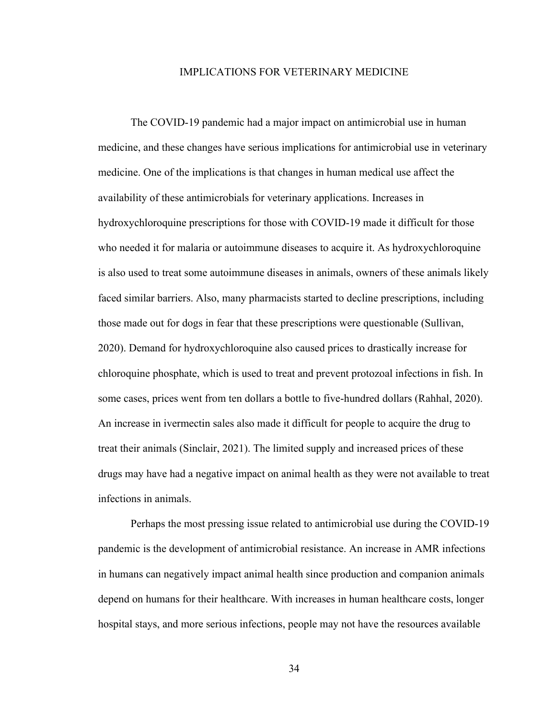# IMPLICATIONS FOR VETERINARY MEDICINE

The COVID-19 pandemic had a major impact on antimicrobial use in human medicine, and these changes have serious implications for antimicrobial use in veterinary medicine. One of the implications is that changes in human medical use affect the availability of these antimicrobials for veterinary applications. Increases in hydroxychloroquine prescriptions for those with COVID-19 made it difficult for those who needed it for malaria or autoimmune diseases to acquire it. As hydroxychloroquine is also used to treat some autoimmune diseases in animals, owners of these animals likely faced similar barriers. Also, many pharmacists started to decline prescriptions, including those made out for dogs in fear that these prescriptions were questionable (Sullivan, 2020). Demand for hydroxychloroquine also caused prices to drastically increase for chloroquine phosphate, which is used to treat and prevent protozoal infections in fish. In some cases, prices went from ten dollars a bottle to five-hundred dollars (Rahhal, 2020). An increase in ivermectin sales also made it difficult for people to acquire the drug to treat their animals (Sinclair, 2021). The limited supply and increased prices of these drugs may have had a negative impact on animal health as they were not available to treat infections in animals.

Perhaps the most pressing issue related to antimicrobial use during the COVID-19 pandemic is the development of antimicrobial resistance. An increase in AMR infections in humans can negatively impact animal health since production and companion animals depend on humans for their healthcare. With increases in human healthcare costs, longer hospital stays, and more serious infections, people may not have the resources available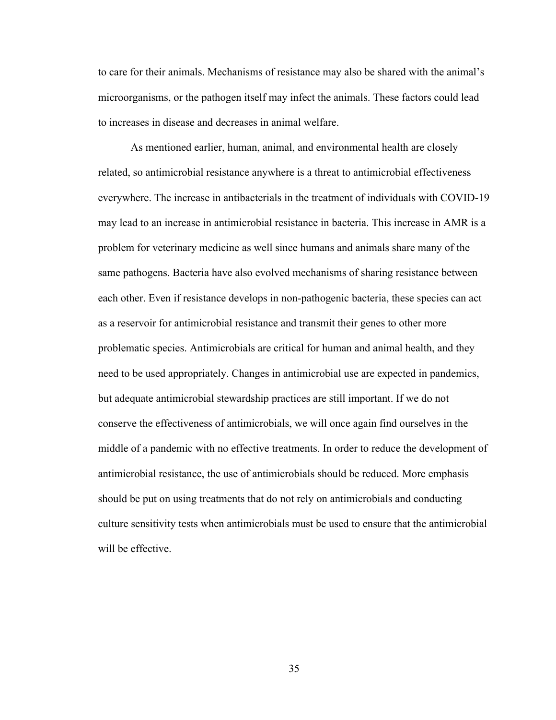to care for their animals. Mechanisms of resistance may also be shared with the animal's microorganisms, or the pathogen itself may infect the animals. These factors could lead to increases in disease and decreases in animal welfare.

As mentioned earlier, human, animal, and environmental health are closely related, so antimicrobial resistance anywhere is a threat to antimicrobial effectiveness everywhere. The increase in antibacterials in the treatment of individuals with COVID-19 may lead to an increase in antimicrobial resistance in bacteria. This increase in AMR is a problem for veterinary medicine as well since humans and animals share many of the same pathogens. Bacteria have also evolved mechanisms of sharing resistance between each other. Even if resistance develops in non-pathogenic bacteria, these species can act as a reservoir for antimicrobial resistance and transmit their genes to other more problematic species. Antimicrobials are critical for human and animal health, and they need to be used appropriately. Changes in antimicrobial use are expected in pandemics, but adequate antimicrobial stewardship practices are still important. If we do not conserve the effectiveness of antimicrobials, we will once again find ourselves in the middle of a pandemic with no effective treatments. In order to reduce the development of antimicrobial resistance, the use of antimicrobials should be reduced. More emphasis should be put on using treatments that do not rely on antimicrobials and conducting culture sensitivity tests when antimicrobials must be used to ensure that the antimicrobial will be effective.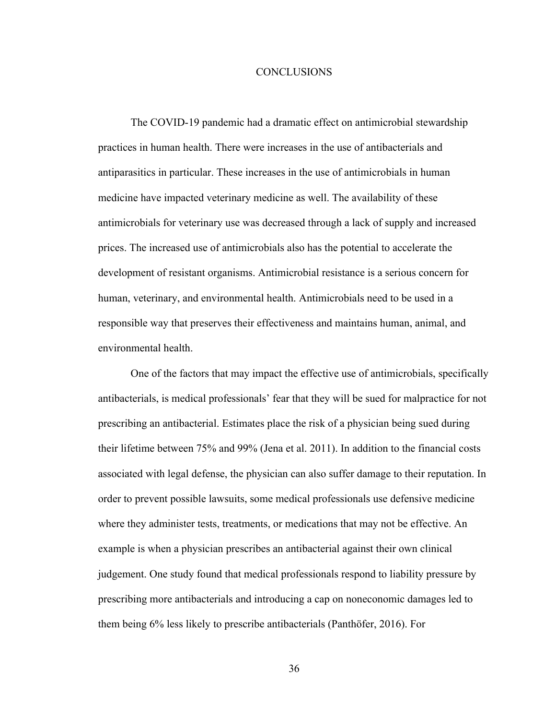# **CONCLUSIONS**

The COVID-19 pandemic had a dramatic effect on antimicrobial stewardship practices in human health. There were increases in the use of antibacterials and antiparasitics in particular. These increases in the use of antimicrobials in human medicine have impacted veterinary medicine as well. The availability of these antimicrobials for veterinary use was decreased through a lack of supply and increased prices. The increased use of antimicrobials also has the potential to accelerate the development of resistant organisms. Antimicrobial resistance is a serious concern for human, veterinary, and environmental health. Antimicrobials need to be used in a responsible way that preserves their effectiveness and maintains human, animal, and environmental health.

One of the factors that may impact the effective use of antimicrobials, specifically antibacterials, is medical professionals' fear that they will be sued for malpractice for not prescribing an antibacterial. Estimates place the risk of a physician being sued during their lifetime between 75% and 99% (Jena et al. 2011). In addition to the financial costs associated with legal defense, the physician can also suffer damage to their reputation. In order to prevent possible lawsuits, some medical professionals use defensive medicine where they administer tests, treatments, or medications that may not be effective. An example is when a physician prescribes an antibacterial against their own clinical judgement. One study found that medical professionals respond to liability pressure by prescribing more antibacterials and introducing a cap on noneconomic damages led to them being 6% less likely to prescribe antibacterials (Panthöfer, 2016). For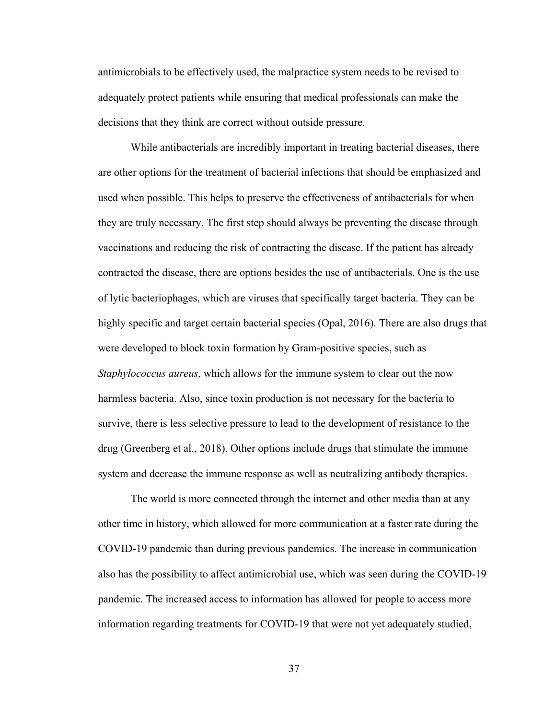antimicrobials to be effectively used, the malpractice system needs to be revised to adequately protect patients while ensuring that medical professionals can make the decisions that they think are correct without outside pressure.

While antibacterials are incredibly important in treating bacterial diseases, there are other options for the treatment of bacterial infections that should be emphasized and used when possible. This helps to preserve the effectiveness of antibacterials for when they are truly necessary. The first step should always be preventing the disease through vaccinations and reducing the risk of contracting the disease. If the patient has already contracted the disease, there are options besides the use of antibacterials. One is the use of lytic bacteriophages, which are viruses that specifically target bacteria. They can be highly specific and target certain bacterial species (Opal, 2016). There are also drugs that were developed to block toxin formation by Gram-positive species, such as *Staphylococcus aureus*, which allows for the immune system to clear out the now harmless bacteria. Also, since toxin production is not necessary for the bacteria to survive, there is less selective pressure to lead to the development of resistance to the drug (Greenberg et al., 2018). Other options include drugs that stimulate the immune system and decrease the immune response as well as neutralizing antibody therapies.

The world is more connected through the internet and other media than at any other time in history, which allowed for more communication at a faster rate during the COVID-19 pandemic than during previous pandemics. The increase in communication also has the possibility to affect antimicrobial use, which was seen during the COVID-19 pandemic. The increased access to information has allowed for people to access more information regarding treatments for COVID-19 that were not yet adequately studied,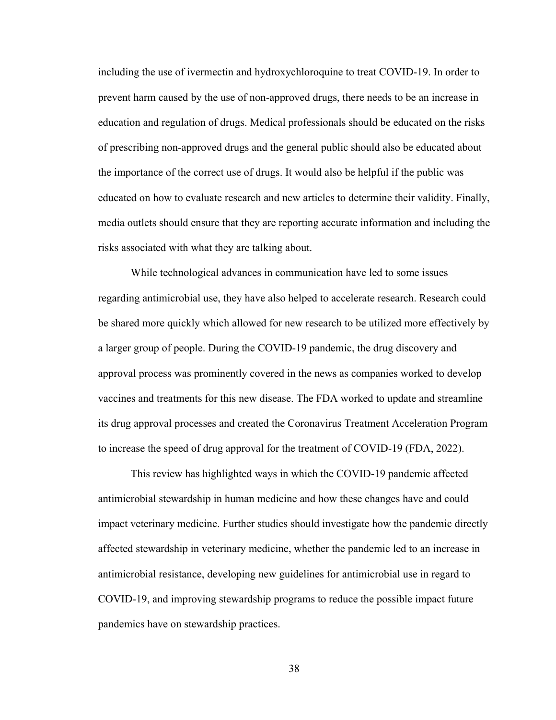including the use of ivermectin and hydroxychloroquine to treat COVID-19. In order to prevent harm caused by the use of non-approved drugs, there needs to be an increase in education and regulation of drugs. Medical professionals should be educated on the risks of prescribing non-approved drugs and the general public should also be educated about the importance of the correct use of drugs. It would also be helpful if the public was educated on how to evaluate research and new articles to determine their validity. Finally, media outlets should ensure that they are reporting accurate information and including the risks associated with what they are talking about.

While technological advances in communication have led to some issues regarding antimicrobial use, they have also helped to accelerate research. Research could be shared more quickly which allowed for new research to be utilized more effectively by a larger group of people. During the COVID-19 pandemic, the drug discovery and approval process was prominently covered in the news as companies worked to develop vaccines and treatments for this new disease. The FDA worked to update and streamline its drug approval processes and created the Coronavirus Treatment Acceleration Program to increase the speed of drug approval for the treatment of COVID-19 (FDA, 2022).

This review has highlighted ways in which the COVID-19 pandemic affected antimicrobial stewardship in human medicine and how these changes have and could impact veterinary medicine. Further studies should investigate how the pandemic directly affected stewardship in veterinary medicine, whether the pandemic led to an increase in antimicrobial resistance, developing new guidelines for antimicrobial use in regard to COVID-19, and improving stewardship programs to reduce the possible impact future pandemics have on stewardship practices.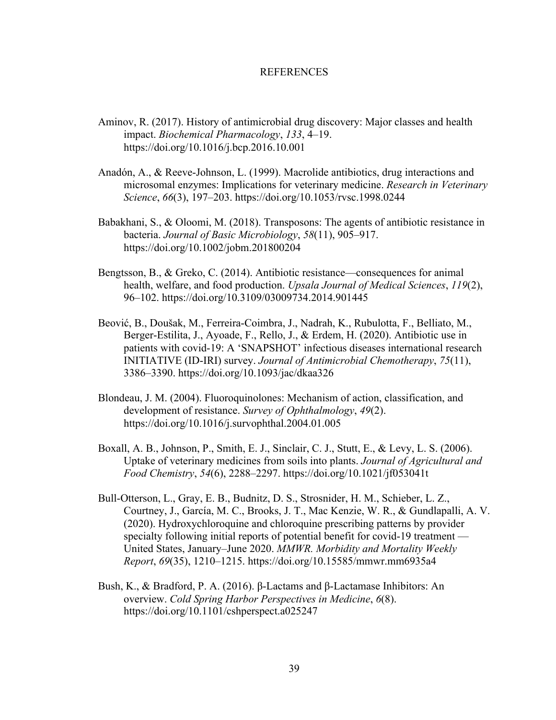#### REFERENCES

- Aminov, R. (2017). History of antimicrobial drug discovery: Major classes and health impact. *Biochemical Pharmacology*, *133*, 4–19. https://doi.org/10.1016/j.bcp.2016.10.001
- Anadón, A., & Reeve-Johnson, L. (1999). Macrolide antibiotics, drug interactions and microsomal enzymes: Implications for veterinary medicine. *Research in Veterinary Science*, *66*(3), 197–203. https://doi.org/10.1053/rvsc.1998.0244
- Babakhani, S., & Oloomi, M. (2018). Transposons: The agents of antibiotic resistance in bacteria. *Journal of Basic Microbiology*, *58*(11), 905–917. https://doi.org/10.1002/jobm.201800204
- Bengtsson, B., & Greko, C. (2014). Antibiotic resistance—consequences for animal health, welfare, and food production. *Upsala Journal of Medical Sciences*, *119*(2), 96–102. https://doi.org/10.3109/03009734.2014.901445
- Beović, B., Doušak, M., Ferreira-Coimbra, J., Nadrah, K., Rubulotta, F., Belliato, M., Berger-Estilita, J., Ayoade, F., Rello, J., & Erdem, H. (2020). Antibiotic use in patients with covid-19: A 'SNAPSHOT' infectious diseases international research INITIATIVE (ID-IRI) survey. *Journal of Antimicrobial Chemotherapy*, *75*(11), 3386–3390. https://doi.org/10.1093/jac/dkaa326
- Blondeau, J. M. (2004). Fluoroquinolones: Mechanism of action, classification, and development of resistance. *Survey of Ophthalmology*, *49*(2). https://doi.org/10.1016/j.survophthal.2004.01.005
- Boxall, A. B., Johnson, P., Smith, E. J., Sinclair, C. J., Stutt, E., & Levy, L. S. (2006). Uptake of veterinary medicines from soils into plants. *Journal of Agricultural and Food Chemistry*, *54*(6), 2288–2297. https://doi.org/10.1021/jf053041t
- Bull-Otterson, L., Gray, E. B., Budnitz, D. S., Strosnider, H. M., Schieber, L. Z., Courtney, J., García, M. C., Brooks, J. T., Mac Kenzie, W. R., & Gundlapalli, A. V. (2020). Hydroxychloroquine and chloroquine prescribing patterns by provider specialty following initial reports of potential benefit for covid-19 treatment — United States, January–June 2020. *MMWR. Morbidity and Mortality Weekly Report*, *69*(35), 1210–1215. https://doi.org/10.15585/mmwr.mm6935a4
- Bush, K., & Bradford, P. A. (2016). β-Lactams and β-Lactamase Inhibitors: An overview. *Cold Spring Harbor Perspectives in Medicine*, *6*(8). https://doi.org/10.1101/cshperspect.a025247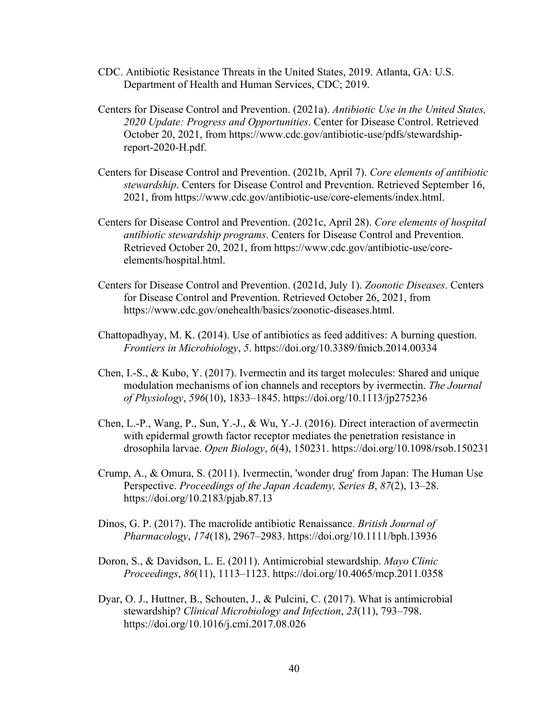- CDC. Antibiotic Resistance Threats in the United States, 2019. Atlanta, GA: U.S. Department of Health and Human Services, CDC; 2019.
- Centers for Disease Control and Prevention. (2021a). *Antibiotic Use in the United States, 2020 Update: Progress and Opportunities*. Center for Disease Control. Retrieved October 20, 2021, from https://www.cdc.gov/antibiotic-use/pdfs/stewardshipreport-2020-H.pdf.
- Centers for Disease Control and Prevention. (2021b, April 7). *Core elements of antibiotic stewardship*. Centers for Disease Control and Prevention. Retrieved September 16, 2021, from https://www.cdc.gov/antibiotic-use/core-elements/index.html.
- Centers for Disease Control and Prevention. (2021c, April 28). *Core elements of hospital antibiotic stewardship programs*. Centers for Disease Control and Prevention. Retrieved October 20, 2021, from https://www.cdc.gov/antibiotic-use/coreelements/hospital.html.
- Centers for Disease Control and Prevention. (2021d, July 1). *Zoonotic Diseases*. Centers for Disease Control and Prevention. Retrieved October 26, 2021, from https://www.cdc.gov/onehealth/basics/zoonotic-diseases.html.
- Chattopadhyay, M. K. (2014). Use of antibiotics as feed additives: A burning question. *Frontiers in Microbiology*, *5*. https://doi.org/10.3389/fmicb.2014.00334
- Chen, I.-S., & Kubo, Y. (2017). Ivermectin and its target molecules: Shared and unique modulation mechanisms of ion channels and receptors by ivermectin. *The Journal of Physiology*, *596*(10), 1833–1845. https://doi.org/10.1113/jp275236
- Chen, L.-P., Wang, P., Sun, Y.-J., & Wu, Y.-J. (2016). Direct interaction of avermectin with epidermal growth factor receptor mediates the penetration resistance in drosophila larvae. *Open Biology*, *6*(4), 150231. https://doi.org/10.1098/rsob.150231
- Crump, A., & Omura, S. (2011). Ivermectin, 'wonder drug' from Japan: The Human Use Perspective. *Proceedings of the Japan Academy, Series B*, *87*(2), 13–28. https://doi.org/10.2183/pjab.87.13
- Dinos, G. P. (2017). The macrolide antibiotic Renaissance. *British Journal of Pharmacology*, *174*(18), 2967–2983. https://doi.org/10.1111/bph.13936
- Doron, S., & Davidson, L. E. (2011). Antimicrobial stewardship. *Mayo Clinic Proceedings*, *86*(11), 1113–1123. https://doi.org/10.4065/mcp.2011.0358
- Dyar, O. J., Huttner, B., Schouten, J., & Pulcini, C. (2017). What is antimicrobial stewardship? *Clinical Microbiology and Infection*, *23*(11), 793–798. https://doi.org/10.1016/j.cmi.2017.08.026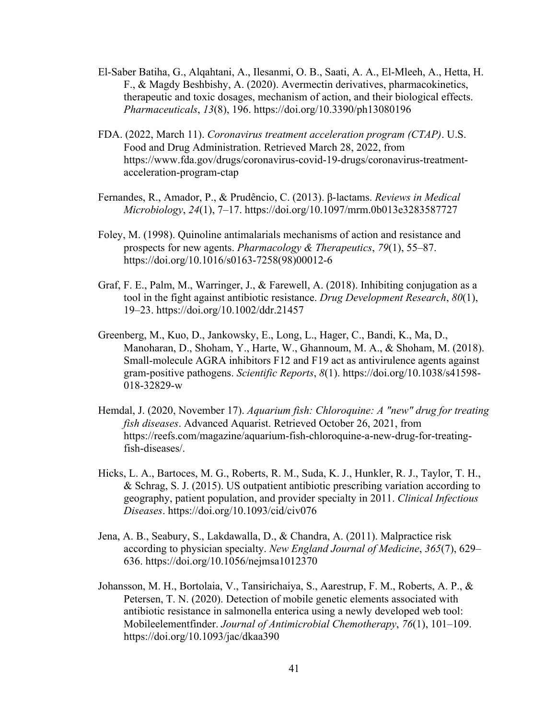- El-Saber Batiha, G., Alqahtani, A., Ilesanmi, O. B., Saati, A. A., El-Mleeh, A., Hetta, H. F., & Magdy Beshbishy, A. (2020). Avermectin derivatives, pharmacokinetics, therapeutic and toxic dosages, mechanism of action, and their biological effects. *Pharmaceuticals*, *13*(8), 196. https://doi.org/10.3390/ph13080196
- FDA. (2022, March 11). *Coronavirus treatment acceleration program (CTAP)*. U.S. Food and Drug Administration. Retrieved March 28, 2022, from https://www.fda.gov/drugs/coronavirus-covid-19-drugs/coronavirus-treatmentacceleration-program-ctap
- Fernandes, R., Amador, P., & Prudêncio, C. (2013). β-lactams. *Reviews in Medical Microbiology*, *24*(1), 7–17. https://doi.org/10.1097/mrm.0b013e3283587727
- Foley, M. (1998). Quinoline antimalarials mechanisms of action and resistance and prospects for new agents. *Pharmacology & Therapeutics*, *79*(1), 55–87. https://doi.org/10.1016/s0163-7258(98)00012-6
- Graf, F. E., Palm, M., Warringer, J., & Farewell, A. (2018). Inhibiting conjugation as a tool in the fight against antibiotic resistance. *Drug Development Research*, *80*(1), 19–23. https://doi.org/10.1002/ddr.21457
- Greenberg, M., Kuo, D., Jankowsky, E., Long, L., Hager, C., Bandi, K., Ma, D., Manoharan, D., Shoham, Y., Harte, W., Ghannoum, M. A., & Shoham, M. (2018). Small-molecule AGRA inhibitors F12 and F19 act as antivirulence agents against gram-positive pathogens. *Scientific Reports*, *8*(1). https://doi.org/10.1038/s41598- 018-32829-w
- Hemdal, J. (2020, November 17). *Aquarium fish: Chloroquine: A "new" drug for treating fish diseases*. Advanced Aquarist. Retrieved October 26, 2021, from https://reefs.com/magazine/aquarium-fish-chloroquine-a-new-drug-for-treatingfish-diseases/.
- Hicks, L. A., Bartoces, M. G., Roberts, R. M., Suda, K. J., Hunkler, R. J., Taylor, T. H., & Schrag, S. J. (2015). US outpatient antibiotic prescribing variation according to geography, patient population, and provider specialty in 2011. *Clinical Infectious Diseases*. https://doi.org/10.1093/cid/civ076
- Jena, A. B., Seabury, S., Lakdawalla, D., & Chandra, A. (2011). Malpractice risk according to physician specialty. *New England Journal of Medicine*, *365*(7), 629– 636. https://doi.org/10.1056/nejmsa1012370
- Johansson, M. H., Bortolaia, V., Tansirichaiya, S., Aarestrup, F. M., Roberts, A. P., & Petersen, T. N. (2020). Detection of mobile genetic elements associated with antibiotic resistance in salmonella enterica using a newly developed web tool: Mobileelementfinder. *Journal of Antimicrobial Chemotherapy*, *76*(1), 101–109. https://doi.org/10.1093/jac/dkaa390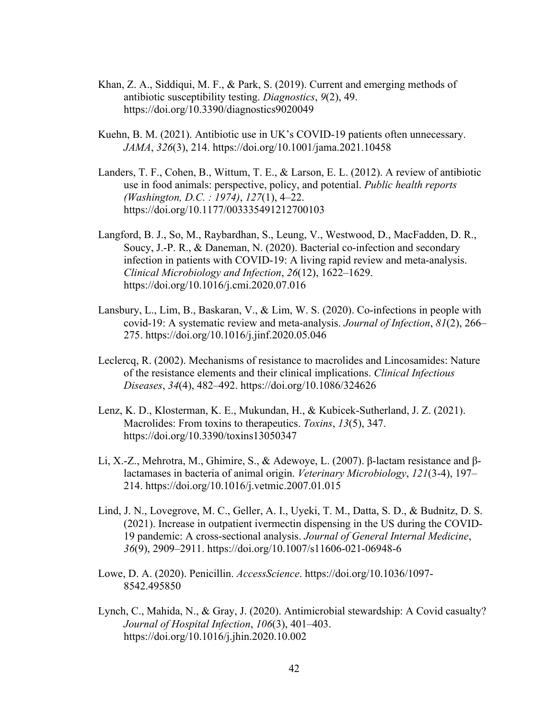- Khan, Z. A., Siddiqui, M. F., & Park, S. (2019). Current and emerging methods of antibiotic susceptibility testing. *Diagnostics*, *9*(2), 49. https://doi.org/10.3390/diagnostics9020049
- Kuehn, B. M. (2021). Antibiotic use in UK's COVID-19 patients often unnecessary. *JAMA*, *326*(3), 214. https://doi.org/10.1001/jama.2021.10458
- Landers, T. F., Cohen, B., Wittum, T. E., & Larson, E. L. (2012). A review of antibiotic use in food animals: perspective, policy, and potential. *Public health reports (Washington, D.C. : 1974)*, *127*(1), 4–22. https://doi.org/10.1177/003335491212700103
- Langford, B. J., So, M., Raybardhan, S., Leung, V., Westwood, D., MacFadden, D. R., Soucy, J.-P. R., & Daneman, N. (2020). Bacterial co-infection and secondary infection in patients with COVID-19: A living rapid review and meta-analysis. *Clinical Microbiology and Infection*, *26*(12), 1622–1629. https://doi.org/10.1016/j.cmi.2020.07.016
- Lansbury, L., Lim, B., Baskaran, V., & Lim, W. S. (2020). Co-infections in people with covid-19: A systematic review and meta-analysis. *Journal of Infection*, *81*(2), 266– 275. https://doi.org/10.1016/j.jinf.2020.05.046
- Leclercq, R. (2002). Mechanisms of resistance to macrolides and Lincosamides: Nature of the resistance elements and their clinical implications. *Clinical Infectious Diseases*, *34*(4), 482–492. https://doi.org/10.1086/324626
- Lenz, K. D., Klosterman, K. E., Mukundan, H., & Kubicek-Sutherland, J. Z. (2021). Macrolides: From toxins to therapeutics. *Toxins*, *13*(5), 347. https://doi.org/10.3390/toxins13050347
- Li, X.-Z., Mehrotra, M., Ghimire, S., & Adewoye, L. (2007). β-lactam resistance and βlactamases in bacteria of animal origin. *Veterinary Microbiology*, *121*(3-4), 197– 214. https://doi.org/10.1016/j.vetmic.2007.01.015
- Lind, J. N., Lovegrove, M. C., Geller, A. I., Uyeki, T. M., Datta, S. D., & Budnitz, D. S. (2021). Increase in outpatient ivermectin dispensing in the US during the COVID-19 pandemic: A cross-sectional analysis. *Journal of General Internal Medicine*, *36*(9), 2909–2911. https://doi.org/10.1007/s11606-021-06948-6
- Lowe, D. A. (2020). Penicillin. *AccessScience*. https://doi.org/10.1036/1097- 8542.495850
- Lynch, C., Mahida, N., & Gray, J. (2020). Antimicrobial stewardship: A Covid casualty? *Journal of Hospital Infection*, *106*(3), 401–403. https://doi.org/10.1016/j.jhin.2020.10.002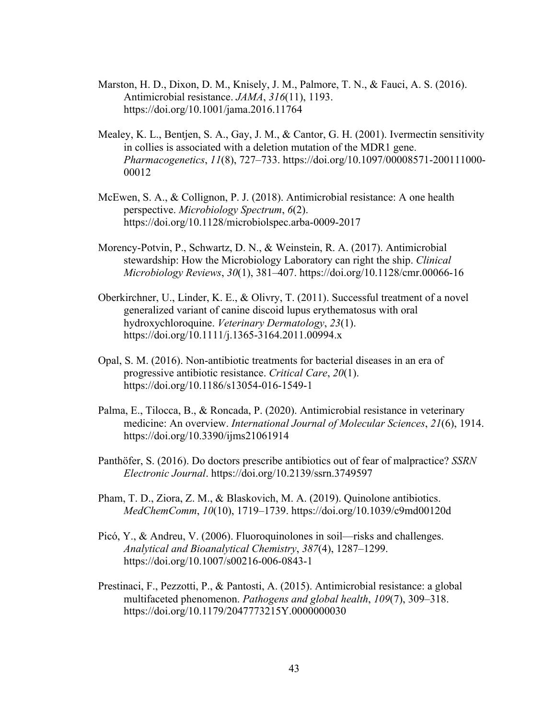- Marston, H. D., Dixon, D. M., Knisely, J. M., Palmore, T. N., & Fauci, A. S. (2016). Antimicrobial resistance. *JAMA*, *316*(11), 1193. https://doi.org/10.1001/jama.2016.11764
- Mealey, K. L., Bentjen, S. A., Gay, J. M., & Cantor, G. H. (2001). Ivermectin sensitivity in collies is associated with a deletion mutation of the MDR1 gene. *Pharmacogenetics*, *11*(8), 727–733. https://doi.org/10.1097/00008571-200111000- 00012
- McEwen, S. A., & Collignon, P. J. (2018). Antimicrobial resistance: A one health perspective. *Microbiology Spectrum*, *6*(2). https://doi.org/10.1128/microbiolspec.arba-0009-2017
- Morency-Potvin, P., Schwartz, D. N., & Weinstein, R. A. (2017). Antimicrobial stewardship: How the Microbiology Laboratory can right the ship. *Clinical Microbiology Reviews*, *30*(1), 381–407. https://doi.org/10.1128/cmr.00066-16
- Oberkirchner, U., Linder, K. E., & Olivry, T. (2011). Successful treatment of a novel generalized variant of canine discoid lupus erythematosus with oral hydroxychloroquine. *Veterinary Dermatology*, *23*(1). https://doi.org/10.1111/j.1365-3164.2011.00994.x
- Opal, S. M. (2016). Non-antibiotic treatments for bacterial diseases in an era of progressive antibiotic resistance. *Critical Care*, *20*(1). https://doi.org/10.1186/s13054-016-1549-1
- Palma, E., Tilocca, B., & Roncada, P. (2020). Antimicrobial resistance in veterinary medicine: An overview. *International Journal of Molecular Sciences*, *21*(6), 1914. https://doi.org/10.3390/ijms21061914
- Panthöfer, S. (2016). Do doctors prescribe antibiotics out of fear of malpractice? *SSRN Electronic Journal*. https://doi.org/10.2139/ssrn.3749597
- Pham, T. D., Ziora, Z. M., & Blaskovich, M. A. (2019). Quinolone antibiotics. *MedChemComm*, *10*(10), 1719–1739. https://doi.org/10.1039/c9md00120d
- Picó, Y., & Andreu, V. (2006). Fluoroquinolones in soil—risks and challenges. *Analytical and Bioanalytical Chemistry*, *387*(4), 1287–1299. https://doi.org/10.1007/s00216-006-0843-1
- Prestinaci, F., Pezzotti, P., & Pantosti, A. (2015). Antimicrobial resistance: a global multifaceted phenomenon. *Pathogens and global health*, *109*(7), 309–318. https://doi.org/10.1179/2047773215Y.0000000030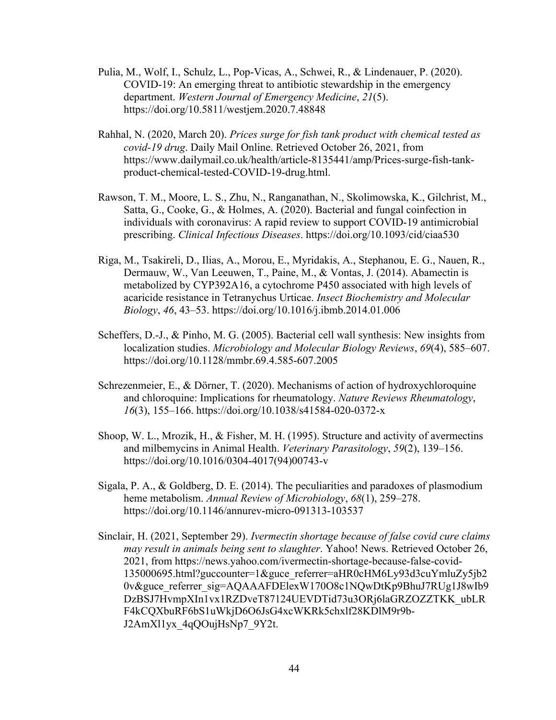- Pulia, M., Wolf, I., Schulz, L., Pop-Vicas, A., Schwei, R., & Lindenauer, P. (2020). COVID-19: An emerging threat to antibiotic stewardship in the emergency department. *Western Journal of Emergency Medicine*, *21*(5). https://doi.org/10.5811/westjem.2020.7.48848
- Rahhal, N. (2020, March 20). *Prices surge for fish tank product with chemical tested as covid-19 drug*. Daily Mail Online. Retrieved October 26, 2021, from https://www.dailymail.co.uk/health/article-8135441/amp/Prices-surge-fish-tankproduct-chemical-tested-COVID-19-drug.html.
- Rawson, T. M., Moore, L. S., Zhu, N., Ranganathan, N., Skolimowska, K., Gilchrist, M., Satta, G., Cooke, G., & Holmes, A. (2020). Bacterial and fungal coinfection in individuals with coronavirus: A rapid review to support COVID-19 antimicrobial prescribing. *Clinical Infectious Diseases*. https://doi.org/10.1093/cid/ciaa530
- Riga, M., Tsakireli, D., Ilias, A., Morou, E., Myridakis, A., Stephanou, E. G., Nauen, R., Dermauw, W., Van Leeuwen, T., Paine, M., & Vontas, J. (2014). Abamectin is metabolized by CYP392A16, a cytochrome P450 associated with high levels of acaricide resistance in Tetranychus Urticae. *Insect Biochemistry and Molecular Biology*, *46*, 43–53. https://doi.org/10.1016/j.ibmb.2014.01.006
- Scheffers, D.-J., & Pinho, M. G. (2005). Bacterial cell wall synthesis: New insights from localization studies. *Microbiology and Molecular Biology Reviews*, *69*(4), 585–607. https://doi.org/10.1128/mmbr.69.4.585-607.2005
- Schrezenmeier, E., & Dörner, T. (2020). Mechanisms of action of hydroxychloroquine and chloroquine: Implications for rheumatology. *Nature Reviews Rheumatology*, *16*(3), 155–166. https://doi.org/10.1038/s41584-020-0372-x
- Shoop, W. L., Mrozik, H., & Fisher, M. H. (1995). Structure and activity of avermectins and milbemycins in Animal Health. *Veterinary Parasitology*, *59*(2), 139–156. https://doi.org/10.1016/0304-4017(94)00743-v
- Sigala, P. A., & Goldberg, D. E. (2014). The peculiarities and paradoxes of plasmodium heme metabolism. *Annual Review of Microbiology*, *68*(1), 259–278. https://doi.org/10.1146/annurev-micro-091313-103537
- Sinclair, H. (2021, September 29). *Ivermectin shortage because of false covid cure claims may result in animals being sent to slaughter*. Yahoo! News. Retrieved October 26, 2021, from https://news.yahoo.com/ivermectin-shortage-because-false-covid-135000695.html?guccounter=1&guce\_referrer=aHR0cHM6Ly93d3cuYmluZy5jb2 0v&guce\_referrer\_sig=AQAAAFDElexW170O8c1NQwDtKp9BhuJ7RUg1J8wIb9 DzBSJ7HvmpXIn1vx1RZDveT87124UEVDTid73u3ORj6laGRZOZZTKK\_ubLR F4kCQXbuRF6bS1uWkjD6O6JsG4xcWKRk5chxlf28KDlM9r9b-J2AmXl1yx\_4qQOujHsNp7\_9Y2t.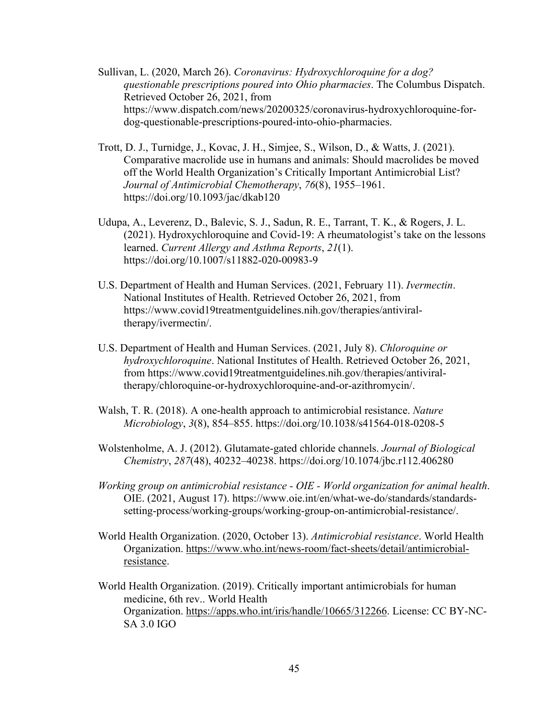- Sullivan, L. (2020, March 26). *Coronavirus: Hydroxychloroquine for a dog? questionable prescriptions poured into Ohio pharmacies*. The Columbus Dispatch. Retrieved October 26, 2021, from https://www.dispatch.com/news/20200325/coronavirus-hydroxychloroquine-fordog-questionable-prescriptions-poured-into-ohio-pharmacies.
- Trott, D. J., Turnidge, J., Kovac, J. H., Simjee, S., Wilson, D., & Watts, J. (2021). Comparative macrolide use in humans and animals: Should macrolides be moved off the World Health Organization's Critically Important Antimicrobial List? *Journal of Antimicrobial Chemotherapy*, *76*(8), 1955–1961. https://doi.org/10.1093/jac/dkab120
- Udupa, A., Leverenz, D., Balevic, S. J., Sadun, R. E., Tarrant, T. K., & Rogers, J. L. (2021). Hydroxychloroquine and Covid-19: A rheumatologist's take on the lessons learned. *Current Allergy and Asthma Reports*, *21*(1). https://doi.org/10.1007/s11882-020-00983-9
- U.S. Department of Health and Human Services. (2021, February 11). *Ivermectin*. National Institutes of Health. Retrieved October 26, 2021, from https://www.covid19treatmentguidelines.nih.gov/therapies/antiviraltherapy/ivermectin/.
- U.S. Department of Health and Human Services. (2021, July 8). *Chloroquine or hydroxychloroquine*. National Institutes of Health. Retrieved October 26, 2021, from https://www.covid19treatmentguidelines.nih.gov/therapies/antiviraltherapy/chloroquine-or-hydroxychloroquine-and-or-azithromycin/.
- Walsh, T. R. (2018). A one-health approach to antimicrobial resistance. *Nature Microbiology*, *3*(8), 854–855. https://doi.org/10.1038/s41564-018-0208-5
- Wolstenholme, A. J. (2012). Glutamate-gated chloride channels. *Journal of Biological Chemistry*, *287*(48), 40232–40238. https://doi.org/10.1074/jbc.r112.406280
- *Working group on antimicrobial resistance - OIE - World organization for animal health*. OIE. (2021, August 17). https://www.oie.int/en/what-we-do/standards/standardssetting-process/working-groups/working-group-on-antimicrobial-resistance/.
- World Health Organization. (2020, October 13). *Antimicrobial resistance*. World Health Organization. https://www.who.int/news-room/fact-sheets/detail/antimicrobialresistance.
- World Health Organization. (2019). Critically important antimicrobials for human medicine, 6th rev.. World Health Organization. https://apps.who.int/iris/handle/10665/312266. License: CC BY-NC-SA 3.0 IGO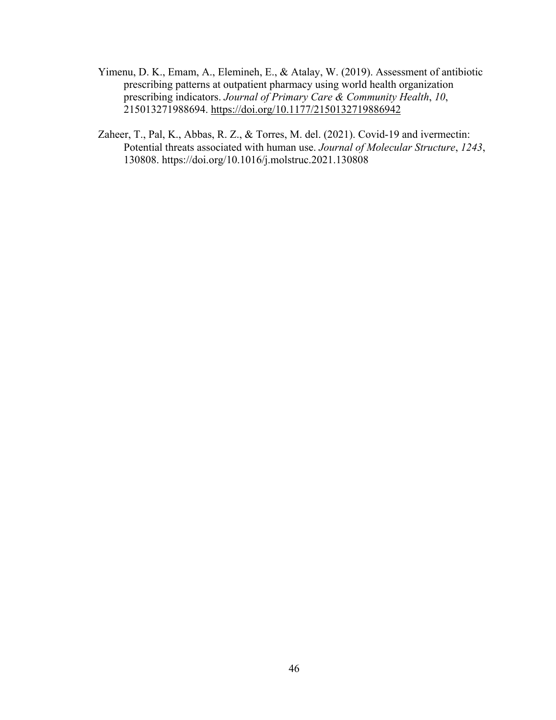- Yimenu, D. K., Emam, A., Elemineh, E., & Atalay, W. (2019). Assessment of antibiotic prescribing patterns at outpatient pharmacy using world health organization prescribing indicators. *Journal of Primary Care & Community Health*, *10*, 215013271988694. https://doi.org/10.1177/2150132719886942
- Zaheer, T., Pal, K., Abbas, R. Z., & Torres, M. del. (2021). Covid-19 and ivermectin: Potential threats associated with human use. *Journal of Molecular Structure*, *1243*, 130808. https://doi.org/10.1016/j.molstruc.2021.130808